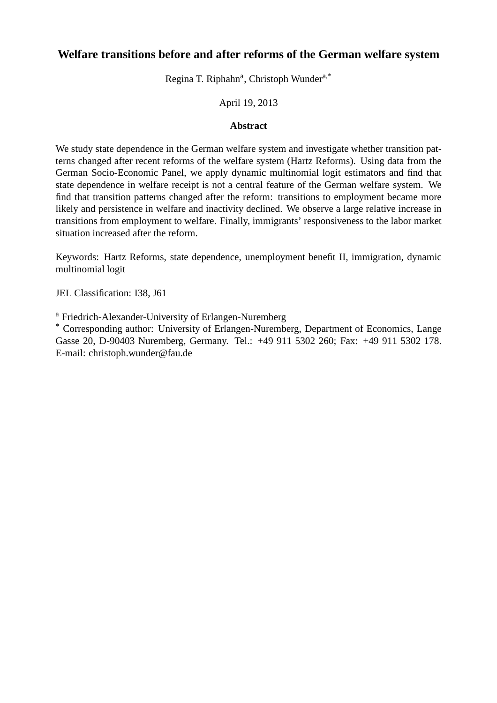# **Welfare transitions before and after reforms of the German welfare system**

Regina T. Riphahn<sup>a</sup>, Christoph Wunder<sup>a,\*</sup>

### April 19, 2013

### **Abstract**

We study state dependence in the German welfare system and investigate whether transition patterns changed after recent reforms of the welfare system (Hartz Reforms). Using data from the German Socio-Economic Panel, we apply dynamic multinomial logit estimators and find that state dependence in welfare receipt is not a central feature of the German welfare system. We find that transition patterns changed after the reform: transitions to employment became more likely and persistence in welfare and inactivity declined. We observe a large relative increase in transitions from employment to welfare. Finally, immigrants' responsiveness to the labor market situation increased after the reform.

Keywords: Hartz Reforms, state dependence, unemployment benefit II, immigration, dynamic multinomial logit

JEL Classification: I38, J61

<sup>a</sup> Friedrich-Alexander-University of Erlangen-Nuremberg

\* Corresponding author: University of Erlangen-Nuremberg, Department of Economics, Lange Gasse 20, D-90403 Nuremberg, Germany. Tel.: +49 911 5302 260; Fax: +49 911 5302 178. E-mail: christoph.wunder@fau.de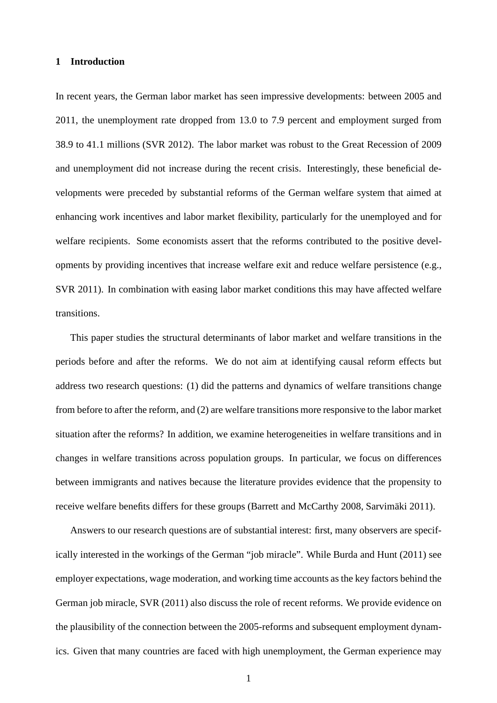#### **1 Introduction**

In recent years, the German labor market has seen impressive developments: between 2005 and 2011, the unemployment rate dropped from 13.0 to 7.9 percent and employment surged from 38.9 to 41.1 millions (SVR 2012). The labor market was robust to the Great Recession of 2009 and unemployment did not increase during the recent crisis. Interestingly, these beneficial developments were preceded by substantial reforms of the German welfare system that aimed at enhancing work incentives and labor market flexibility, particularly for the unemployed and for welfare recipients. Some economists assert that the reforms contributed to the positive developments by providing incentives that increase welfare exit and reduce welfare persistence (e.g., SVR 2011). In combination with easing labor market conditions this may have affected welfare transitions.

This paper studies the structural determinants of labor market and welfare transitions in the periods before and after the reforms. We do not aim at identifying causal reform effects but address two research questions: (1) did the patterns and dynamics of welfare transitions change from before to after the reform, and (2) are welfare transitions more responsive to the labor market situation after the reforms? In addition, we examine heterogeneities in welfare transitions and in changes in welfare transitions across population groups. In particular, we focus on differences between immigrants and natives because the literature provides evidence that the propensity to receive welfare benefits differs for these groups (Barrett and McCarthy 2008, Sarvimäki 2011).

Answers to our research questions are of substantial interest: first, many observers are specifically interested in the workings of the German "job miracle". While Burda and Hunt (2011) see employer expectations, wage moderation, and working time accounts as the key factors behind the German job miracle, SVR (2011) also discuss the role of recent reforms. We provide evidence on the plausibility of the connection between the 2005-reforms and subsequent employment dynamics. Given that many countries are faced with high unemployment, the German experience may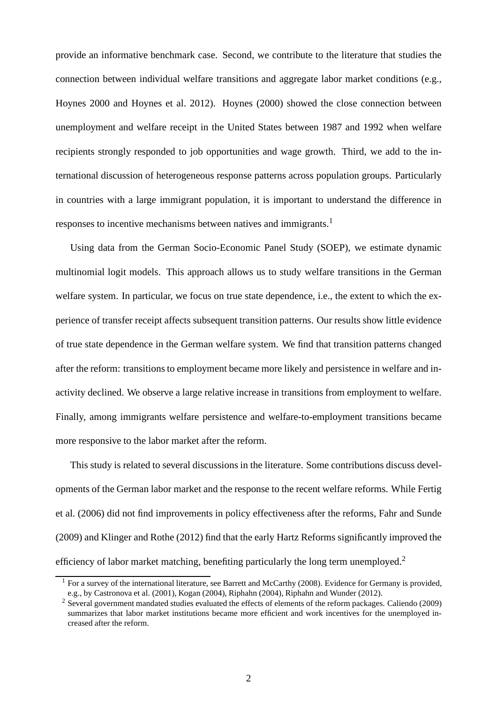provide an informative benchmark case. Second, we contribute to the literature that studies the connection between individual welfare transitions and aggregate labor market conditions (e.g., Hoynes 2000 and Hoynes et al. 2012). Hoynes (2000) showed the close connection between unemployment and welfare receipt in the United States between 1987 and 1992 when welfare recipients strongly responded to job opportunities and wage growth. Third, we add to the international discussion of heterogeneous response patterns across population groups. Particularly in countries with a large immigrant population, it is important to understand the difference in responses to incentive mechanisms between natives and immigrants.<sup>1</sup>

Using data from the German Socio-Economic Panel Study (SOEP), we estimate dynamic multinomial logit models. This approach allows us to study welfare transitions in the German welfare system. In particular, we focus on true state dependence, i.e., the extent to which the experience of transfer receipt affects subsequent transition patterns. Our results show little evidence of true state dependence in the German welfare system. We find that transition patterns changed after the reform: transitions to employment became more likely and persistence in welfare and inactivity declined. We observe a large relative increase in transitions from employment to welfare. Finally, among immigrants welfare persistence and welfare-to-employment transitions became more responsive to the labor market after the reform.

This study is related to several discussions in the literature. Some contributions discuss developments of the German labor market and the response to the recent welfare reforms. While Fertig et al. (2006) did not find improvements in policy effectiveness after the reforms, Fahr and Sunde (2009) and Klinger and Rothe (2012) find that the early Hartz Reforms significantly improved the efficiency of labor market matching, benefiting particularly the long term unemployed.<sup>2</sup>

<sup>&</sup>lt;sup>1</sup> For a survey of the international literature, see Barrett and McCarthy (2008). Evidence for Germany is provided, e.g., by Castronova et al. (2001), Kogan (2004), Riphahn (2004), Riphahn and Wunder (2012).

<sup>&</sup>lt;sup>2</sup> Several government mandated studies evaluated the effects of elements of the reform packages. Caliendo (2009) summarizes that labor market institutions became more efficient and work incentives for the unemployed increased after the reform.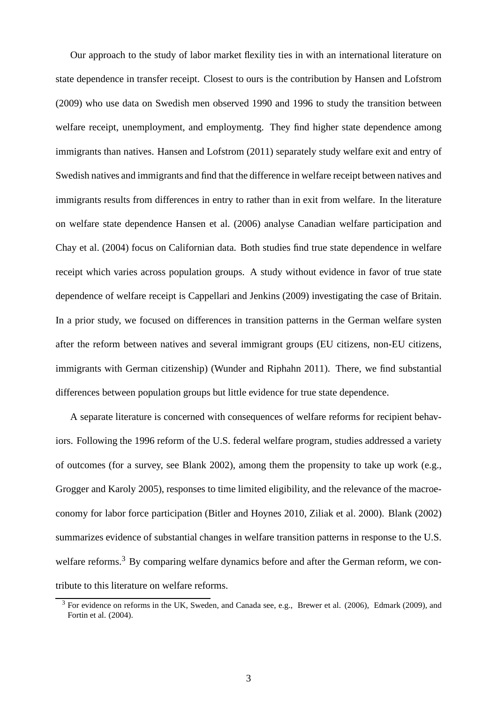Our approach to the study of labor market flexility ties in with an international literature on state dependence in transfer receipt. Closest to ours is the contribution by Hansen and Lofstrom (2009) who use data on Swedish men observed 1990 and 1996 to study the transition between welfare receipt, unemployment, and employmentg. They find higher state dependence among immigrants than natives. Hansen and Lofstrom (2011) separately study welfare exit and entry of Swedish natives and immigrants and find that the difference in welfare receipt between natives and immigrants results from differences in entry to rather than in exit from welfare. In the literature on welfare state dependence Hansen et al. (2006) analyse Canadian welfare participation and Chay et al. (2004) focus on Californian data. Both studies find true state dependence in welfare receipt which varies across population groups. A study without evidence in favor of true state dependence of welfare receipt is Cappellari and Jenkins (2009) investigating the case of Britain. In a prior study, we focused on differences in transition patterns in the German welfare systen after the reform between natives and several immigrant groups (EU citizens, non-EU citizens, immigrants with German citizenship) (Wunder and Riphahn 2011). There, we find substantial differences between population groups but little evidence for true state dependence.

A separate literature is concerned with consequences of welfare reforms for recipient behaviors. Following the 1996 reform of the U.S. federal welfare program, studies addressed a variety of outcomes (for a survey, see Blank 2002), among them the propensity to take up work (e.g., Grogger and Karoly 2005), responses to time limited eligibility, and the relevance of the macroeconomy for labor force participation (Bitler and Hoynes 2010, Ziliak et al. 2000). Blank (2002) summarizes evidence of substantial changes in welfare transition patterns in response to the U.S. welfare reforms.<sup>3</sup> By comparing welfare dynamics before and after the German reform, we contribute to this literature on welfare reforms.

<sup>&</sup>lt;sup>3</sup> For evidence on reforms in the UK, Sweden, and Canada see, e.g., Brewer et al. (2006), Edmark (2009), and Fortin et al. (2004).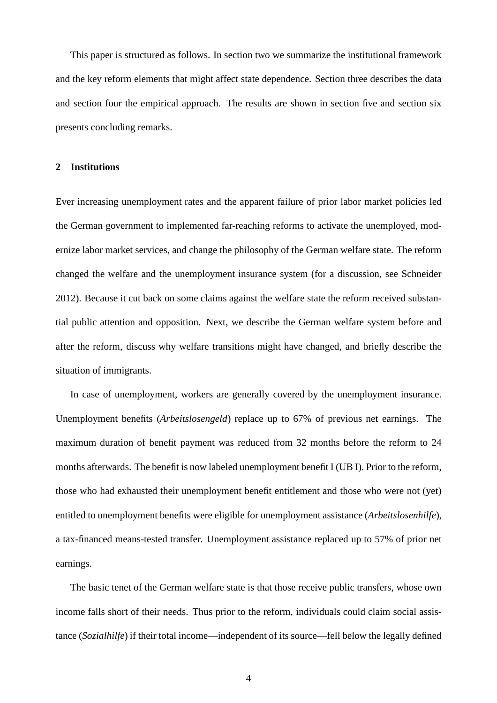This paper is structured as follows. In section two we summarize the institutional framework and the key reform elements that might affect state dependence. Section three describes the data and section four the empirical approach. The results are shown in section five and section six presents concluding remarks.

#### **2 Institutions**

Ever increasing unemployment rates and the apparent failure of prior labor market policies led the German government to implemented far-reaching reforms to activate the unemployed, modernize labor market services, and change the philosophy of the German welfare state. The reform changed the welfare and the unemployment insurance system (for a discussion, see Schneider 2012). Because it cut back on some claims against the welfare state the reform received substantial public attention and opposition. Next, we describe the German welfare system before and after the reform, discuss why welfare transitions might have changed, and briefly describe the situation of immigrants.

In case of unemployment, workers are generally covered by the unemployment insurance. Unemployment benefits (*Arbeitslosengeld*) replace up to 67% of previous net earnings. The maximum duration of benefit payment was reduced from 32 months before the reform to 24 months afterwards. The benefit is now labeled unemployment benefit I (UB I). Prior to the reform, those who had exhausted their unemployment benefit entitlement and those who were not (yet) entitled to unemployment benefits were eligible for unemployment assistance (*Arbeitslosenhilfe*), a tax-financed means-tested transfer. Unemployment assistance replaced up to 57% of prior net earnings.

The basic tenet of the German welfare state is that those receive public transfers, whose own income falls short of their needs. Thus prior to the reform, individuals could claim social assistance (*Sozialhilfe*) if their total income—independent of its source—fell below the legally defined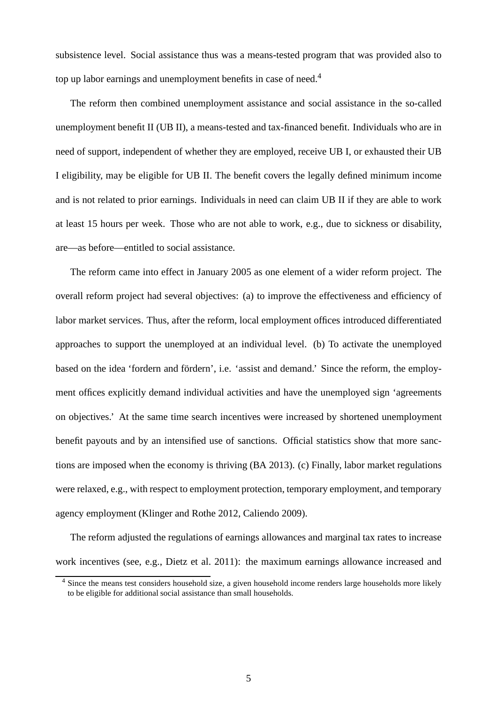subsistence level. Social assistance thus was a means-tested program that was provided also to top up labor earnings and unemployment benefits in case of need.<sup>4</sup>

The reform then combined unemployment assistance and social assistance in the so-called unemployment benefit II (UB II), a means-tested and tax-financed benefit. Individuals who are in need of support, independent of whether they are employed, receive UB I, or exhausted their UB I eligibility, may be eligible for UB II. The benefit covers the legally defined minimum income and is not related to prior earnings. Individuals in need can claim UB II if they are able to work at least 15 hours per week. Those who are not able to work, e.g., due to sickness or disability, are—as before—entitled to social assistance.

The reform came into effect in January 2005 as one element of a wider reform project. The overall reform project had several objectives: (a) to improve the effectiveness and efficiency of labor market services. Thus, after the reform, local employment offices introduced differentiated approaches to support the unemployed at an individual level. (b) To activate the unemployed based on the idea 'fordern and fördern', i.e. 'assist and demand.' Since the reform, the employment offices explicitly demand individual activities and have the unemployed sign 'agreements on objectives.' At the same time search incentives were increased by shortened unemployment benefit payouts and by an intensified use of sanctions. Official statistics show that more sanctions are imposed when the economy is thriving (BA 2013). (c) Finally, labor market regulations were relaxed, e.g., with respect to employment protection, temporary employment, and temporary agency employment (Klinger and Rothe 2012, Caliendo 2009).

The reform adjusted the regulations of earnings allowances and marginal tax rates to increase work incentives (see, e.g., Dietz et al. 2011): the maximum earnings allowance increased and

<sup>4</sup> Since the means test considers household size, a given household income renders large households more likely to be eligible for additional social assistance than small households.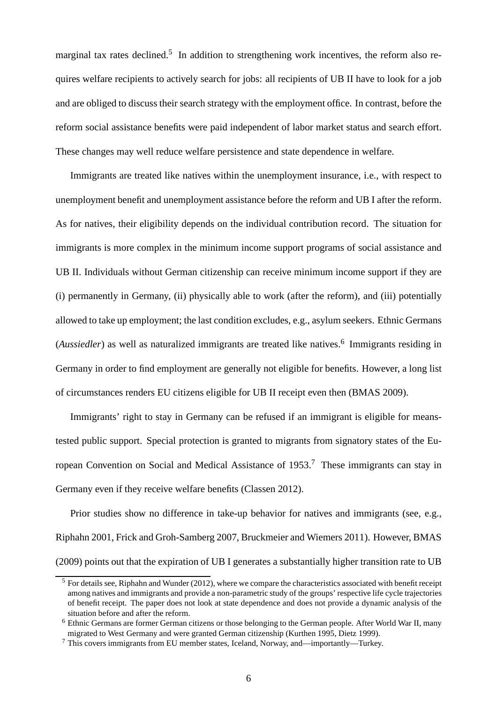marginal tax rates declined.<sup>5</sup> In addition to strengthening work incentives, the reform also requires welfare recipients to actively search for jobs: all recipients of UB II have to look for a job and are obliged to discuss their search strategy with the employment office. In contrast, before the reform social assistance benefits were paid independent of labor market status and search effort. These changes may well reduce welfare persistence and state dependence in welfare.

Immigrants are treated like natives within the unemployment insurance, i.e., with respect to unemployment benefit and unemployment assistance before the reform and UB I after the reform. As for natives, their eligibility depends on the individual contribution record. The situation for immigrants is more complex in the minimum income support programs of social assistance and UB II. Individuals without German citizenship can receive minimum income support if they are (i) permanently in Germany, (ii) physically able to work (after the reform), and (iii) potentially allowed to take up employment; the last condition excludes, e.g., asylum seekers. Ethnic Germans (*Aussiedler*) as well as naturalized immigrants are treated like natives. 6 Immigrants residing in Germany in order to find employment are generally not eligible for benefits. However, a long list of circumstances renders EU citizens eligible for UB II receipt even then (BMAS 2009).

Immigrants' right to stay in Germany can be refused if an immigrant is eligible for meanstested public support. Special protection is granted to migrants from signatory states of the European Convention on Social and Medical Assistance of 1953.<sup>7</sup> These immigrants can stay in Germany even if they receive welfare benefits (Classen 2012).

Prior studies show no difference in take-up behavior for natives and immigrants (see, e.g., Riphahn 2001, Frick and Groh-Samberg 2007, Bruckmeier and Wiemers 2011). However, BMAS (2009) points out that the expiration of UB I generates a substantially higher transition rate to UB

<sup>&</sup>lt;sup>5</sup> For details see, Riphahn and Wunder (2012), where we compare the characteristics associated with benefit receipt among natives and immigrants and provide a non-parametric study of the groups' respective life cycle trajectories of benefit receipt. The paper does not look at state dependence and does not provide a dynamic analysis of the situation before and after the reform.

<sup>6</sup> Ethnic Germans are former German citizens or those belonging to the German people. After World War II, many migrated to West Germany and were granted German citizenship (Kurthen 1995, Dietz 1999).

<sup>7</sup> This covers immigrants from EU member states, Iceland, Norway, and—importantly—Turkey.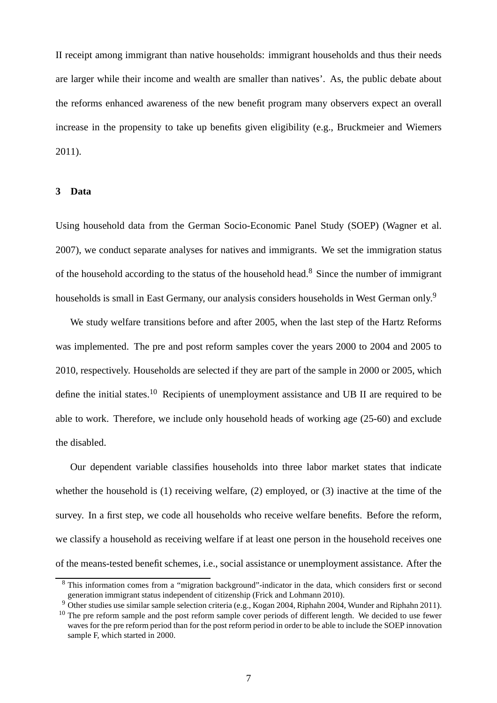II receipt among immigrant than native households: immigrant households and thus their needs are larger while their income and wealth are smaller than natives'. As, the public debate about the reforms enhanced awareness of the new benefit program many observers expect an overall increase in the propensity to take up benefits given eligibility (e.g., Bruckmeier and Wiemers 2011).

#### **3 Data**

Using household data from the German Socio-Economic Panel Study (SOEP) (Wagner et al. 2007), we conduct separate analyses for natives and immigrants. We set the immigration status of the household according to the status of the household head.<sup>8</sup> Since the number of immigrant households is small in East Germany, our analysis considers households in West German only.<sup>9</sup>

We study welfare transitions before and after 2005, when the last step of the Hartz Reforms was implemented. The pre and post reform samples cover the years 2000 to 2004 and 2005 to 2010, respectively. Households are selected if they are part of the sample in 2000 or 2005, which define the initial states.<sup>10</sup> Recipients of unemployment assistance and UB II are required to be able to work. Therefore, we include only household heads of working age (25-60) and exclude the disabled.

Our dependent variable classifies households into three labor market states that indicate whether the household is (1) receiving welfare, (2) employed, or (3) inactive at the time of the survey. In a first step, we code all households who receive welfare benefits. Before the reform, we classify a household as receiving welfare if at least one person in the household receives one of the means-tested benefit schemes, i.e., social assistance or unemployment assistance. After the

<sup>8</sup> This information comes from a "migration background"-indicator in the data, which considers first or second generation immigrant status independent of citizenship (Frick and Lohmann 2010).

<sup>&</sup>lt;sup>9</sup> Other studies use similar sample selection criteria (e.g., Kogan 2004, Riphahn 2004, Wunder and Riphahn 2011).

<sup>&</sup>lt;sup>10</sup> The pre reform sample and the post reform sample cover periods of different length. We decided to use fewer waves for the pre reform period than for the post reform period in order to be able to include the SOEP innovation sample F, which started in 2000.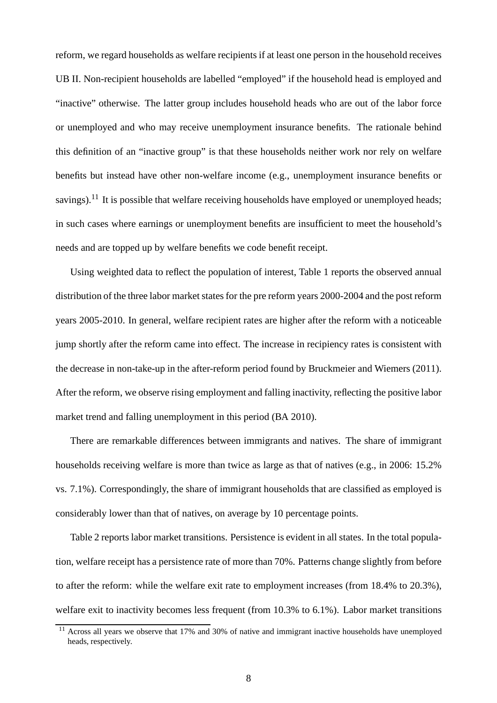reform, we regard households as welfare recipients if at least one person in the household receives UB II. Non-recipient households are labelled "employed" if the household head is employed and "inactive" otherwise. The latter group includes household heads who are out of the labor force or unemployed and who may receive unemployment insurance benefits. The rationale behind this definition of an "inactive group" is that these households neither work nor rely on welfare benefits but instead have other non-welfare income (e.g., unemployment insurance benefits or savings).<sup>11</sup> It is possible that welfare receiving households have employed or unemployed heads; in such cases where earnings or unemployment benefits are insufficient to meet the household's needs and are topped up by welfare benefits we code benefit receipt.

Using weighted data to reflect the population of interest, Table 1 reports the observed annual distribution of the three labor market states for the pre reform years 2000-2004 and the post reform years 2005-2010. In general, welfare recipient rates are higher after the reform with a noticeable jump shortly after the reform came into effect. The increase in recipiency rates is consistent with the decrease in non-take-up in the after-reform period found by Bruckmeier and Wiemers (2011). After the reform, we observe rising employment and falling inactivity, reflecting the positive labor market trend and falling unemployment in this period (BA 2010).

There are remarkable differences between immigrants and natives. The share of immigrant households receiving welfare is more than twice as large as that of natives (e.g., in 2006: 15.2% vs. 7.1%). Correspondingly, the share of immigrant households that are classified as employed is considerably lower than that of natives, on average by 10 percentage points.

Table 2 reports labor market transitions. Persistence is evident in all states. In the total population, welfare receipt has a persistence rate of more than 70%. Patterns change slightly from before to after the reform: while the welfare exit rate to employment increases (from 18.4% to 20.3%), welfare exit to inactivity becomes less frequent (from 10.3% to 6.1%). Labor market transitions

<sup>&</sup>lt;sup>11</sup> Across all years we observe that 17% and 30% of native and immigrant inactive households have unemployed heads, respectively.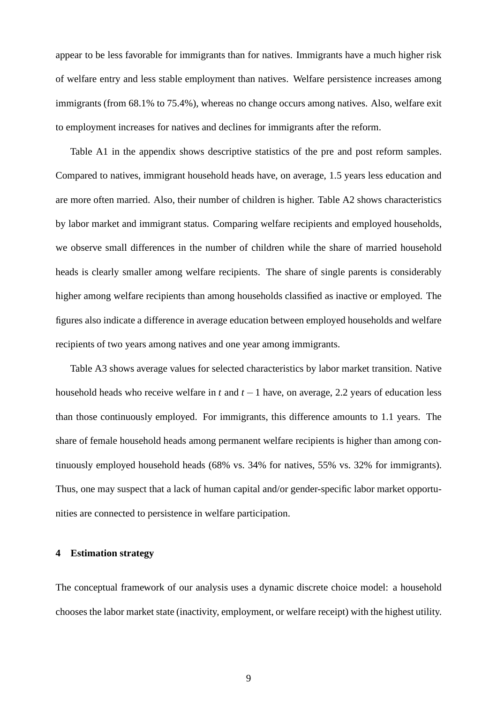appear to be less favorable for immigrants than for natives. Immigrants have a much higher risk of welfare entry and less stable employment than natives. Welfare persistence increases among immigrants (from 68.1% to 75.4%), whereas no change occurs among natives. Also, welfare exit to employment increases for natives and declines for immigrants after the reform.

Table A1 in the appendix shows descriptive statistics of the pre and post reform samples. Compared to natives, immigrant household heads have, on average, 1.5 years less education and are more often married. Also, their number of children is higher. Table A2 shows characteristics by labor market and immigrant status. Comparing welfare recipients and employed households, we observe small differences in the number of children while the share of married household heads is clearly smaller among welfare recipients. The share of single parents is considerably higher among welfare recipients than among households classified as inactive or employed. The figures also indicate a difference in average education between employed households and welfare recipients of two years among natives and one year among immigrants.

Table A3 shows average values for selected characteristics by labor market transition. Native household heads who receive welfare in *t* and *t* −1 have, on average, 2.2 years of education less than those continuously employed. For immigrants, this difference amounts to 1.1 years. The share of female household heads among permanent welfare recipients is higher than among continuously employed household heads (68% vs. 34% for natives, 55% vs. 32% for immigrants). Thus, one may suspect that a lack of human capital and/or gender-specific labor market opportunities are connected to persistence in welfare participation.

### **4 Estimation strategy**

The conceptual framework of our analysis uses a dynamic discrete choice model: a household chooses the labor market state (inactivity, employment, or welfare receipt) with the highest utility.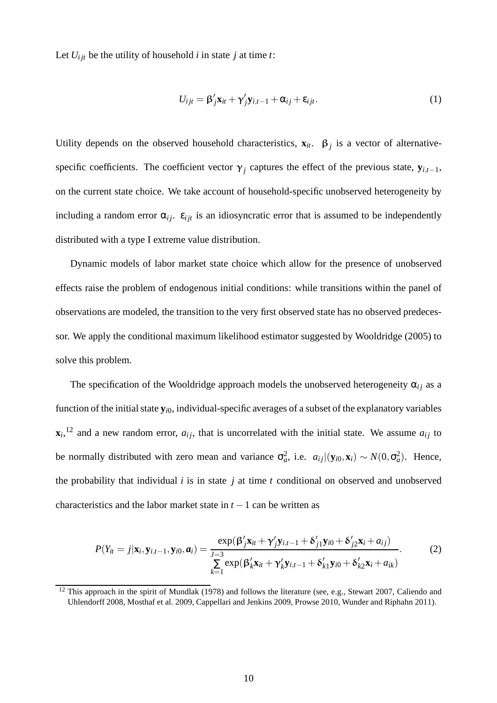Let  $U_{ijt}$  be the utility of household *i* in state *j* at time *t*:

$$
U_{ijt} = \beta'_j \mathbf{x}_{it} + \gamma'_j \mathbf{y}_{i,t-1} + \alpha_{ij} + \varepsilon_{ijt}.
$$
 (1)

Utility depends on the observed household characteristics,  $\mathbf{x}_{it}$ .  $\boldsymbol{\beta}_j$  is a vector of alternativespecific coefficients. The coefficient vector  $\gamma_j$  captures the effect of the previous state,  $\mathbf{y}_{i,t-1}$ , on the current state choice. We take account of household-specific unobserved heterogeneity by including a random error  $\alpha_{ij}$ .  $\varepsilon_{ijt}$  is an idiosyncratic error that is assumed to be independently distributed with a type I extreme value distribution.

Dynamic models of labor market state choice which allow for the presence of unobserved effects raise the problem of endogenous initial conditions: while transitions within the panel of observations are modeled, the transition to the very first observed state has no observed predecessor. We apply the conditional maximum likelihood estimator suggested by Wooldridge (2005) to solve this problem.

The specification of the Wooldridge approach models the unobserved heterogeneity  $\alpha_{ij}$  as a function of the initial state **y***i*0, individual-specific averages of a subset of the explanatory variables  $\mathbf{x}_i$ <sup>12</sup> and a new random error,  $a_{ij}$ , that is uncorrelated with the initial state. We assume  $a_{ij}$  to be normally distributed with zero mean and variance  $\sigma_a^2$ , i.e.  $a_{ij}|(\mathbf{y}_{i0}, \mathbf{x}_i) \sim N(0, \sigma_a^2)$ . Hence, the probability that individual *i* is in state *j* at time *t* conditional on observed and unobserved characteristics and the labor market state in  $t - 1$  can be written as

$$
P(Y_{it}=j|\mathbf{x}_{i},\mathbf{y}_{i,t-1},\mathbf{y}_{i0},\boldsymbol{a}_{i})=\frac{\exp(\beta_{j}'\mathbf{x}_{it}+\gamma_{j}'\mathbf{y}_{i,t-1}+\delta_{j1}'\mathbf{y}_{i0}+\delta_{j2}'\mathbf{x}_{i}+a_{ij})}{\sum\limits_{k=1}^{J=3}\exp(\beta_{k}'\mathbf{x}_{it}+\gamma_{k}'\mathbf{y}_{i,t-1}+\delta_{k1}'\mathbf{y}_{i0}+\delta_{k2}'\mathbf{x}_{i}+a_{ik})}.
$$
 (2)

 $12$  This approach in the spirit of Mundlak (1978) and follows the literature (see, e.g., Stewart 2007, Caliendo and Uhlendorff 2008, Mosthaf et al. 2009, Cappellari and Jenkins 2009, Prowse 2010, Wunder and Riphahn 2011).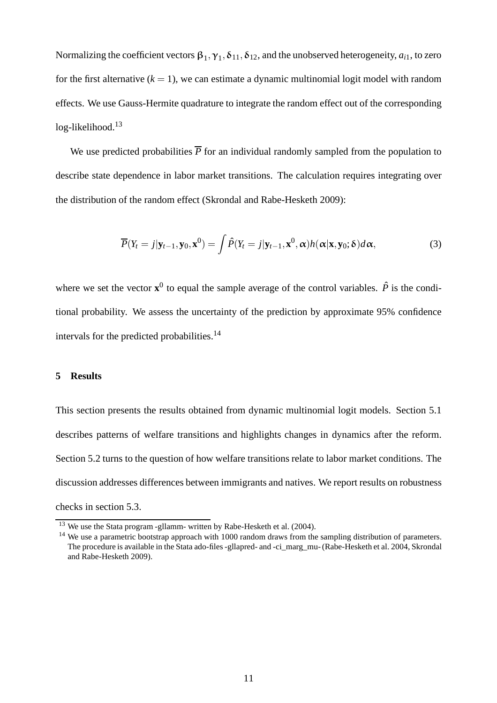Normalizing the coefficient vectors  $\beta_1, \gamma_1, \delta_{11}, \delta_{12}$ , and the unobserved heterogeneity,  $a_{i1}$ , to zero for the first alternative  $(k = 1)$ , we can estimate a dynamic multinomial logit model with random effects. We use Gauss-Hermite quadrature to integrate the random effect out of the corresponding log-likelihood.<sup>13</sup>

We use predicted probabilities  $\overline{P}$  for an individual randomly sampled from the population to describe state dependence in labor market transitions. The calculation requires integrating over the distribution of the random effect (Skrondal and Rabe-Hesketh 2009):

$$
\overline{P}(Y_t = j | \mathbf{y}_{t-1}, \mathbf{y}_0, \mathbf{x}^0) = \int \hat{P}(Y_t = j | \mathbf{y}_{t-1}, \mathbf{x}^0, \alpha) h(\alpha | \mathbf{x}, \mathbf{y}_0; \delta) d\alpha,
$$
\n(3)

where we set the vector  $\mathbf{x}^0$  to equal the sample average of the control variables.  $\hat{P}$  is the conditional probability. We assess the uncertainty of the prediction by approximate 95% confidence intervals for the predicted probabilities.<sup>14</sup>

#### **5 Results**

This section presents the results obtained from dynamic multinomial logit models. Section 5.1 describes patterns of welfare transitions and highlights changes in dynamics after the reform. Section 5.2 turns to the question of how welfare transitions relate to labor market conditions. The discussion addresses differences between immigrants and natives. We report results on robustness checks in section 5.3.

<sup>&</sup>lt;sup>13</sup> We use the Stata program -gllamm- written by Rabe-Hesketh et al. (2004).

<sup>&</sup>lt;sup>14</sup> We use a parametric bootstrap approach with 1000 random draws from the sampling distribution of parameters. The procedure is available in the Stata ado-files -gllapred- and -ci\_marg\_mu- (Rabe-Hesketh et al. 2004, Skrondal and Rabe-Hesketh 2009).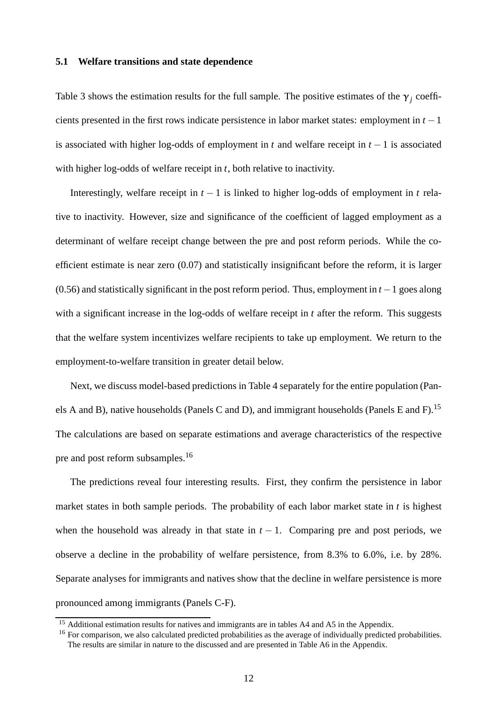### **5.1 Welfare transitions and state dependence**

Table 3 shows the estimation results for the full sample. The positive estimates of the  $\gamma_j$  coefficients presented in the first rows indicate persistence in labor market states: employment in *t* −1 is associated with higher log-odds of employment in *t* and welfare receipt in *t* − 1 is associated with higher log-odds of welfare receipt in *t*, both relative to inactivity.

Interestingly, welfare receipt in  $t - 1$  is linked to higher log-odds of employment in  $t$  relative to inactivity. However, size and significance of the coefficient of lagged employment as a determinant of welfare receipt change between the pre and post reform periods. While the coefficient estimate is near zero (0.07) and statistically insignificant before the reform, it is larger (0.56) and statistically significant in the post reform period. Thus, employment in *t* −1 goes along with a significant increase in the log-odds of welfare receipt in *t* after the reform. This suggests that the welfare system incentivizes welfare recipients to take up employment. We return to the employment-to-welfare transition in greater detail below.

Next, we discuss model-based predictions in Table 4 separately for the entire population (Panels A and B), native households (Panels C and D), and immigrant households (Panels E and F).<sup>15</sup> The calculations are based on separate estimations and average characteristics of the respective pre and post reform subsamples.<sup>16</sup>

The predictions reveal four interesting results. First, they confirm the persistence in labor market states in both sample periods. The probability of each labor market state in *t* is highest when the household was already in that state in  $t - 1$ . Comparing pre and post periods, we observe a decline in the probability of welfare persistence, from 8.3% to 6.0%, i.e. by 28%. Separate analyses for immigrants and natives show that the decline in welfare persistence is more pronounced among immigrants (Panels C-F).

<sup>&</sup>lt;sup>15</sup> Additional estimation results for natives and immigrants are in tables A4 and A5 in the Appendix.

<sup>&</sup>lt;sup>16</sup> For comparison, we also calculated predicted probabilities as the average of individually predicted probabilities. The results are similar in nature to the discussed and are presented in Table A6 in the Appendix.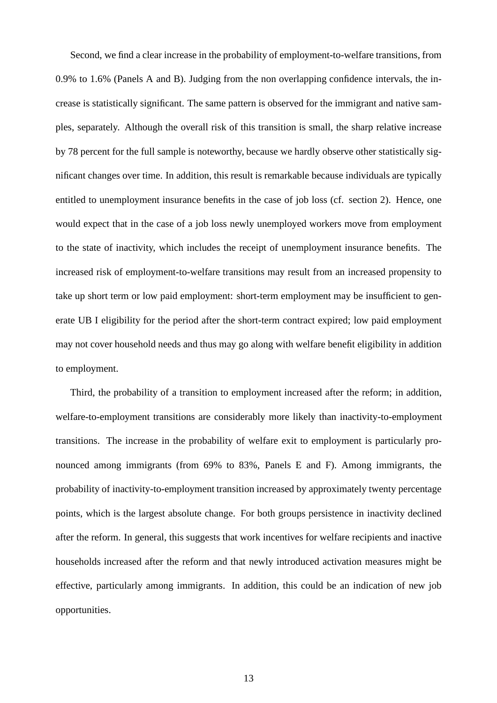Second, we find a clear increase in the probability of employment-to-welfare transitions, from 0.9% to 1.6% (Panels A and B). Judging from the non overlapping confidence intervals, the increase is statistically significant. The same pattern is observed for the immigrant and native samples, separately. Although the overall risk of this transition is small, the sharp relative increase by 78 percent for the full sample is noteworthy, because we hardly observe other statistically significant changes over time. In addition, this result is remarkable because individuals are typically entitled to unemployment insurance benefits in the case of job loss (cf. section 2). Hence, one would expect that in the case of a job loss newly unemployed workers move from employment to the state of inactivity, which includes the receipt of unemployment insurance benefits. The increased risk of employment-to-welfare transitions may result from an increased propensity to take up short term or low paid employment: short-term employment may be insufficient to generate UB I eligibility for the period after the short-term contract expired; low paid employment may not cover household needs and thus may go along with welfare benefit eligibility in addition to employment.

Third, the probability of a transition to employment increased after the reform; in addition, welfare-to-employment transitions are considerably more likely than inactivity-to-employment transitions. The increase in the probability of welfare exit to employment is particularly pronounced among immigrants (from 69% to 83%, Panels E and F). Among immigrants, the probability of inactivity-to-employment transition increased by approximately twenty percentage points, which is the largest absolute change. For both groups persistence in inactivity declined after the reform. In general, this suggests that work incentives for welfare recipients and inactive households increased after the reform and that newly introduced activation measures might be effective, particularly among immigrants. In addition, this could be an indication of new job opportunities.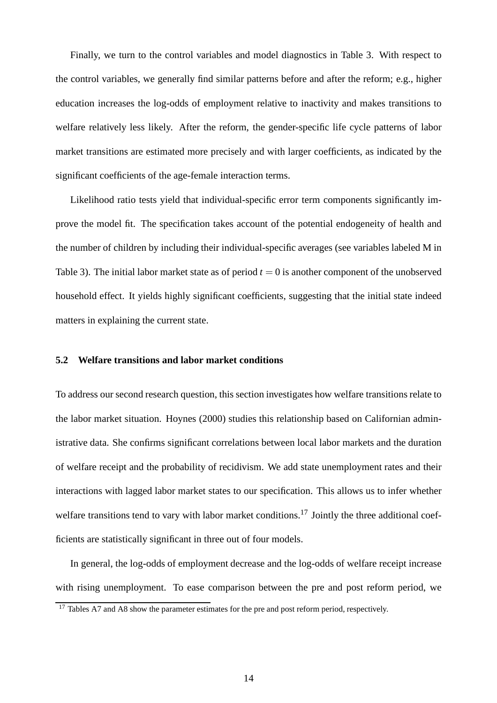Finally, we turn to the control variables and model diagnostics in Table 3. With respect to the control variables, we generally find similar patterns before and after the reform; e.g., higher education increases the log-odds of employment relative to inactivity and makes transitions to welfare relatively less likely. After the reform, the gender-specific life cycle patterns of labor market transitions are estimated more precisely and with larger coefficients, as indicated by the significant coefficients of the age-female interaction terms.

Likelihood ratio tests yield that individual-specific error term components significantly improve the model fit. The specification takes account of the potential endogeneity of health and the number of children by including their individual-specific averages (see variables labeled M in Table 3). The initial labor market state as of period  $t = 0$  is another component of the unobserved household effect. It yields highly significant coefficients, suggesting that the initial state indeed matters in explaining the current state.

#### **5.2 Welfare transitions and labor market conditions**

To address our second research question, this section investigates how welfare transitions relate to the labor market situation. Hoynes (2000) studies this relationship based on Californian administrative data. She confirms significant correlations between local labor markets and the duration of welfare receipt and the probability of recidivism. We add state unemployment rates and their interactions with lagged labor market states to our specification. This allows us to infer whether welfare transitions tend to vary with labor market conditions.<sup>17</sup> Jointly the three additional coefficients are statistically significant in three out of four models.

In general, the log-odds of employment decrease and the log-odds of welfare receipt increase with rising unemployment. To ease comparison between the pre and post reform period, we

<sup>&</sup>lt;sup>17</sup> Tables A7 and A8 show the parameter estimates for the pre and post reform period, respectively.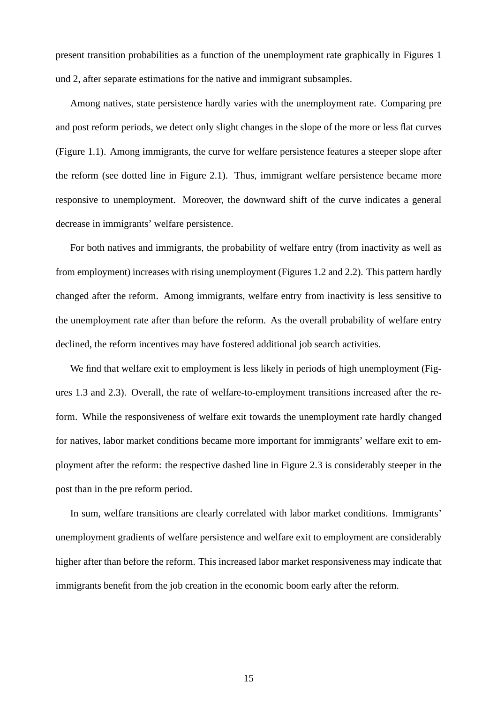present transition probabilities as a function of the unemployment rate graphically in Figures 1 und 2, after separate estimations for the native and immigrant subsamples.

Among natives, state persistence hardly varies with the unemployment rate. Comparing pre and post reform periods, we detect only slight changes in the slope of the more or less flat curves (Figure 1.1). Among immigrants, the curve for welfare persistence features a steeper slope after the reform (see dotted line in Figure 2.1). Thus, immigrant welfare persistence became more responsive to unemployment. Moreover, the downward shift of the curve indicates a general decrease in immigrants' welfare persistence.

For both natives and immigrants, the probability of welfare entry (from inactivity as well as from employment) increases with rising unemployment (Figures 1.2 and 2.2). This pattern hardly changed after the reform. Among immigrants, welfare entry from inactivity is less sensitive to the unemployment rate after than before the reform. As the overall probability of welfare entry declined, the reform incentives may have fostered additional job search activities.

We find that welfare exit to employment is less likely in periods of high unemployment (Figures 1.3 and 2.3). Overall, the rate of welfare-to-employment transitions increased after the reform. While the responsiveness of welfare exit towards the unemployment rate hardly changed for natives, labor market conditions became more important for immigrants' welfare exit to employment after the reform: the respective dashed line in Figure 2.3 is considerably steeper in the post than in the pre reform period.

In sum, welfare transitions are clearly correlated with labor market conditions. Immigrants' unemployment gradients of welfare persistence and welfare exit to employment are considerably higher after than before the reform. This increased labor market responsiveness may indicate that immigrants benefit from the job creation in the economic boom early after the reform.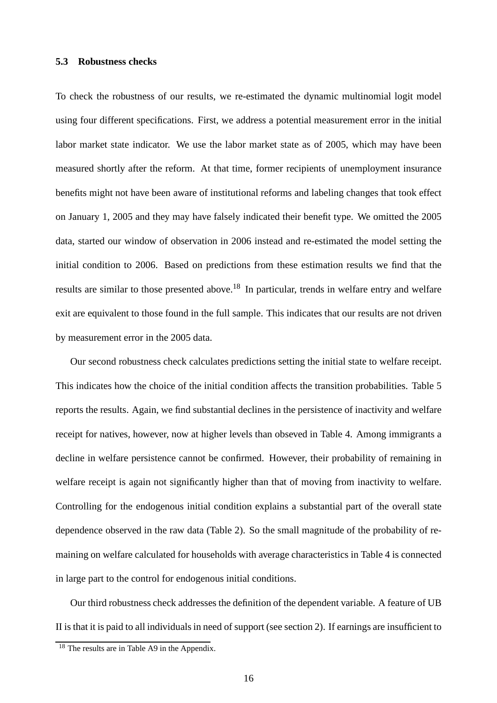### **5.3 Robustness checks**

To check the robustness of our results, we re-estimated the dynamic multinomial logit model using four different specifications. First, we address a potential measurement error in the initial labor market state indicator. We use the labor market state as of 2005, which may have been measured shortly after the reform. At that time, former recipients of unemployment insurance benefits might not have been aware of institutional reforms and labeling changes that took effect on January 1, 2005 and they may have falsely indicated their benefit type. We omitted the 2005 data, started our window of observation in 2006 instead and re-estimated the model setting the initial condition to 2006. Based on predictions from these estimation results we find that the results are similar to those presented above.<sup>18</sup> In particular, trends in welfare entry and welfare exit are equivalent to those found in the full sample. This indicates that our results are not driven by measurement error in the 2005 data.

Our second robustness check calculates predictions setting the initial state to welfare receipt. This indicates how the choice of the initial condition affects the transition probabilities. Table 5 reports the results. Again, we find substantial declines in the persistence of inactivity and welfare receipt for natives, however, now at higher levels than obseved in Table 4. Among immigrants a decline in welfare persistence cannot be confirmed. However, their probability of remaining in welfare receipt is again not significantly higher than that of moving from inactivity to welfare. Controlling for the endogenous initial condition explains a substantial part of the overall state dependence observed in the raw data (Table 2). So the small magnitude of the probability of remaining on welfare calculated for households with average characteristics in Table 4 is connected in large part to the control for endogenous initial conditions.

Our third robustness check addresses the definition of the dependent variable. A feature of UB II is that it is paid to all individuals in need of support (see section 2). If earnings are insufficient to

<sup>&</sup>lt;sup>18</sup> The results are in Table A9 in the Appendix.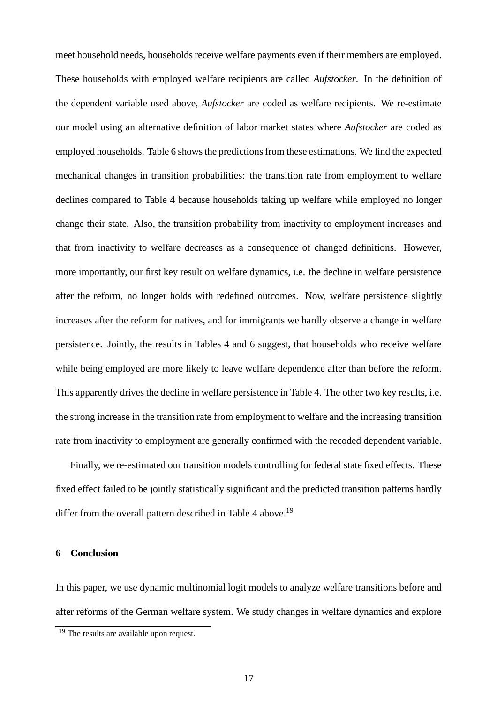meet household needs, households receive welfare payments even if their members are employed. These households with employed welfare recipients are called *Aufstocker*. In the definition of the dependent variable used above, *Aufstocker* are coded as welfare recipients. We re-estimate our model using an alternative definition of labor market states where *Aufstocker* are coded as employed households. Table 6 shows the predictions from these estimations. We find the expected mechanical changes in transition probabilities: the transition rate from employment to welfare declines compared to Table 4 because households taking up welfare while employed no longer change their state. Also, the transition probability from inactivity to employment increases and that from inactivity to welfare decreases as a consequence of changed definitions. However, more importantly, our first key result on welfare dynamics, i.e. the decline in welfare persistence after the reform, no longer holds with redefined outcomes. Now, welfare persistence slightly increases after the reform for natives, and for immigrants we hardly observe a change in welfare persistence. Jointly, the results in Tables 4 and 6 suggest, that households who receive welfare while being employed are more likely to leave welfare dependence after than before the reform. This apparently drives the decline in welfare persistence in Table 4. The other two key results, i.e. the strong increase in the transition rate from employment to welfare and the increasing transition rate from inactivity to employment are generally confirmed with the recoded dependent variable.

Finally, we re-estimated our transition models controlling for federal state fixed effects. These fixed effect failed to be jointly statistically significant and the predicted transition patterns hardly differ from the overall pattern described in Table 4 above.<sup>19</sup>

### **6 Conclusion**

In this paper, we use dynamic multinomial logit models to analyze welfare transitions before and after reforms of the German welfare system. We study changes in welfare dynamics and explore

<sup>&</sup>lt;sup>19</sup> The results are available upon request.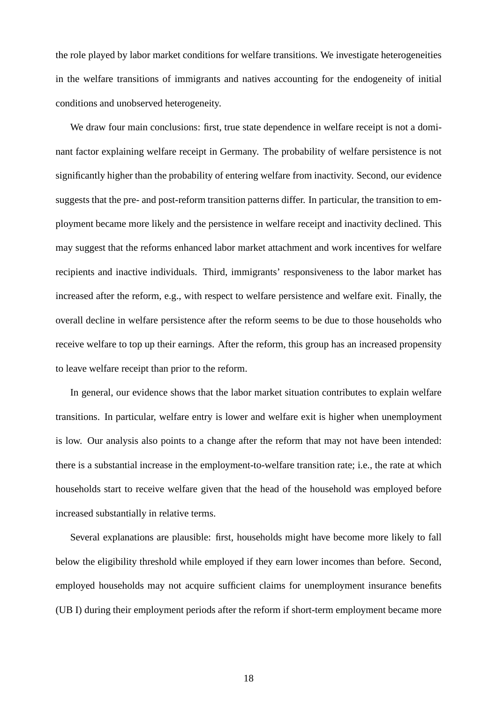the role played by labor market conditions for welfare transitions. We investigate heterogeneities in the welfare transitions of immigrants and natives accounting for the endogeneity of initial conditions and unobserved heterogeneity.

We draw four main conclusions: first, true state dependence in welfare receipt is not a dominant factor explaining welfare receipt in Germany. The probability of welfare persistence is not significantly higher than the probability of entering welfare from inactivity. Second, our evidence suggests that the pre- and post-reform transition patterns differ. In particular, the transition to employment became more likely and the persistence in welfare receipt and inactivity declined. This may suggest that the reforms enhanced labor market attachment and work incentives for welfare recipients and inactive individuals. Third, immigrants' responsiveness to the labor market has increased after the reform, e.g., with respect to welfare persistence and welfare exit. Finally, the overall decline in welfare persistence after the reform seems to be due to those households who receive welfare to top up their earnings. After the reform, this group has an increased propensity to leave welfare receipt than prior to the reform.

In general, our evidence shows that the labor market situation contributes to explain welfare transitions. In particular, welfare entry is lower and welfare exit is higher when unemployment is low. Our analysis also points to a change after the reform that may not have been intended: there is a substantial increase in the employment-to-welfare transition rate; i.e., the rate at which households start to receive welfare given that the head of the household was employed before increased substantially in relative terms.

Several explanations are plausible: first, households might have become more likely to fall below the eligibility threshold while employed if they earn lower incomes than before. Second, employed households may not acquire sufficient claims for unemployment insurance benefits (UB I) during their employment periods after the reform if short-term employment became more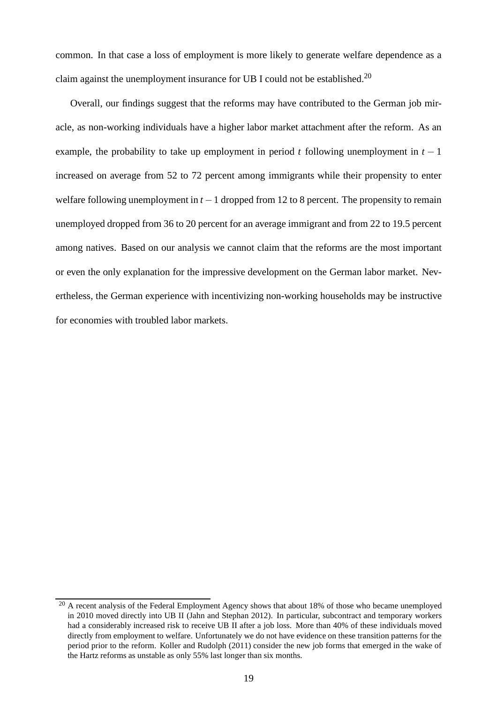common. In that case a loss of employment is more likely to generate welfare dependence as a claim against the unemployment insurance for UB I could not be established.<sup>20</sup>

Overall, our findings suggest that the reforms may have contributed to the German job miracle, as non-working individuals have a higher labor market attachment after the reform. As an example, the probability to take up employment in period *t* following unemployment in  $t - 1$ increased on average from 52 to 72 percent among immigrants while their propensity to enter welfare following unemployment in *t* −1 dropped from 12 to 8 percent. The propensity to remain unemployed dropped from 36 to 20 percent for an average immigrant and from 22 to 19.5 percent among natives. Based on our analysis we cannot claim that the reforms are the most important or even the only explanation for the impressive development on the German labor market. Nevertheless, the German experience with incentivizing non-working households may be instructive for economies with troubled labor markets.

<sup>&</sup>lt;sup>20</sup> A recent analysis of the Federal Employment Agency shows that about 18% of those who became unemployed in 2010 moved directly into UB II (Jahn and Stephan 2012). In particular, subcontract and temporary workers had a considerably increased risk to receive UB II after a job loss. More than 40% of these individuals moved directly from employment to welfare. Unfortunately we do not have evidence on these transition patterns for the period prior to the reform. Koller and Rudolph (2011) consider the new job forms that emerged in the wake of the Hartz reforms as unstable as only 55% last longer than six months.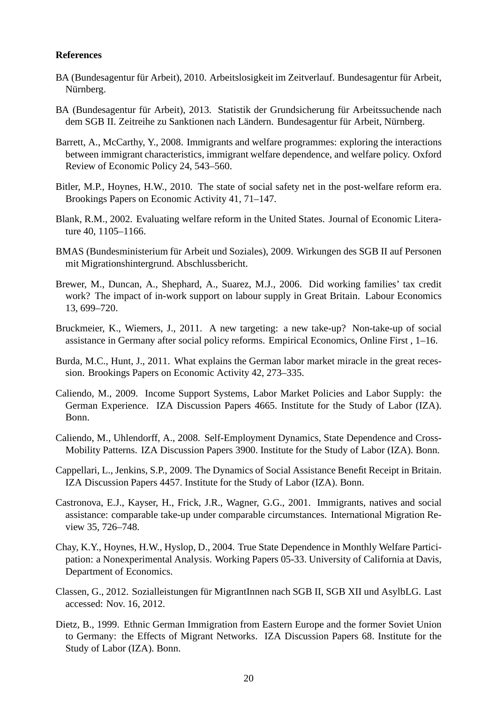#### **References**

- BA (Bundesagentur für Arbeit), 2010. Arbeitslosigkeit im Zeitverlauf. Bundesagentur für Arbeit, Nürnberg.
- BA (Bundesagentur für Arbeit), 2013. Statistik der Grundsicherung für Arbeitssuchende nach dem SGB II. Zeitreihe zu Sanktionen nach Ländern. Bundesagentur für Arbeit, Nürnberg.
- Barrett, A., McCarthy, Y., 2008. Immigrants and welfare programmes: exploring the interactions between immigrant characteristics, immigrant welfare dependence, and welfare policy. Oxford Review of Economic Policy 24, 543–560.
- Bitler, M.P., Hoynes, H.W., 2010. The state of social safety net in the post-welfare reform era. Brookings Papers on Economic Activity 41, 71–147.
- Blank, R.M., 2002. Evaluating welfare reform in the United States. Journal of Economic Literature 40, 1105–1166.
- BMAS (Bundesministerium für Arbeit und Soziales), 2009. Wirkungen des SGB II auf Personen mit Migrationshintergrund. Abschlussbericht.
- Brewer, M., Duncan, A., Shephard, A., Suarez, M.J., 2006. Did working families' tax credit work? The impact of in-work support on labour supply in Great Britain. Labour Economics 13, 699–720.
- Bruckmeier, K., Wiemers, J., 2011. A new targeting: a new take-up? Non-take-up of social assistance in Germany after social policy reforms. Empirical Economics, Online First , 1–16.
- Burda, M.C., Hunt, J., 2011. What explains the German labor market miracle in the great recession. Brookings Papers on Economic Activity 42, 273–335.
- Caliendo, M., 2009. Income Support Systems, Labor Market Policies and Labor Supply: the German Experience. IZA Discussion Papers 4665. Institute for the Study of Labor (IZA). Bonn.
- Caliendo, M., Uhlendorff, A., 2008. Self-Employment Dynamics, State Dependence and Cross-Mobility Patterns. IZA Discussion Papers 3900. Institute for the Study of Labor (IZA). Bonn.
- Cappellari, L., Jenkins, S.P., 2009. The Dynamics of Social Assistance Benefit Receipt in Britain. IZA Discussion Papers 4457. Institute for the Study of Labor (IZA). Bonn.
- Castronova, E.J., Kayser, H., Frick, J.R., Wagner, G.G., 2001. Immigrants, natives and social assistance: comparable take-up under comparable circumstances. International Migration Review 35, 726–748.
- Chay, K.Y., Hoynes, H.W., Hyslop, D., 2004. True State Dependence in Monthly Welfare Participation: a Nonexperimental Analysis. Working Papers 05-33. University of California at Davis, Department of Economics.
- Classen, G., 2012. Sozialleistungen für MigrantInnen nach SGB II, SGB XII und AsylbLG. Last accessed: Nov. 16, 2012.
- Dietz, B., 1999. Ethnic German Immigration from Eastern Europe and the former Soviet Union to Germany: the Effects of Migrant Networks. IZA Discussion Papers 68. Institute for the Study of Labor (IZA). Bonn.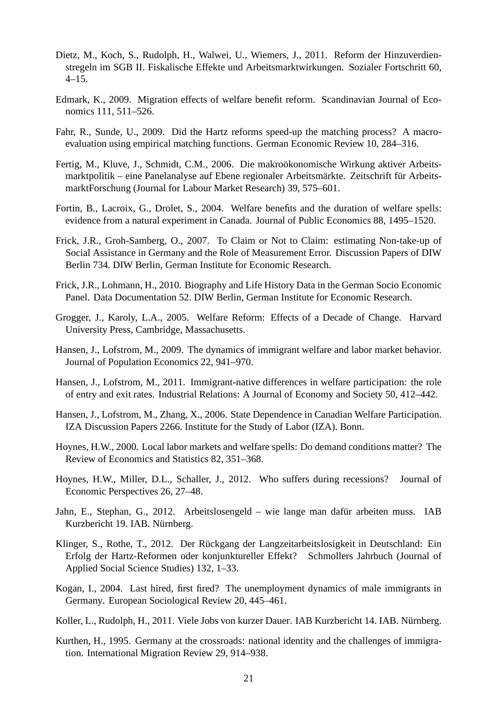- Dietz, M., Koch, S., Rudolph, H., Walwei, U., Wiemers, J., 2011. Reform der Hinzuverdienstregeln im SGB II. Fiskalische Effekte und Arbeitsmarktwirkungen. Sozialer Fortschritt 60, 4–15.
- Edmark, K., 2009. Migration effects of welfare benefit reform. Scandinavian Journal of Economics 111, 511–526.
- Fahr, R., Sunde, U., 2009. Did the Hartz reforms speed-up the matching process? A macroevaluation using empirical matching functions. German Economic Review 10, 284–316.
- Fertig, M., Kluve, J., Schmidt, C.M., 2006. Die makroökonomische Wirkung aktiver Arbeitsmarktpolitik – eine Panelanalyse auf Ebene regionaler Arbeitsmärkte. Zeitschrift für ArbeitsmarktForschung (Journal for Labour Market Research) 39, 575–601.
- Fortin, B., Lacroix, G., Drolet, S., 2004. Welfare benefits and the duration of welfare spells: evidence from a natural experiment in Canada. Journal of Public Economics 88, 1495–1520.
- Frick, J.R., Groh-Samberg, O., 2007. To Claim or Not to Claim: estimating Non-take-up of Social Assistance in Germany and the Role of Measurement Error. Discussion Papers of DIW Berlin 734. DIW Berlin, German Institute for Economic Research.
- Frick, J.R., Lohmann, H., 2010. Biography and Life History Data in the German Socio Economic Panel. Data Documentation 52. DIW Berlin, German Institute for Economic Research.
- Grogger, J., Karoly, L.A., 2005. Welfare Reform: Effects of a Decade of Change. Harvard University Press, Cambridge, Massachusetts.
- Hansen, J., Lofstrom, M., 2009. The dynamics of immigrant welfare and labor market behavior. Journal of Population Economics 22, 941–970.
- Hansen, J., Lofstrom, M., 2011. Immigrant-native differences in welfare participation: the role of entry and exit rates. Industrial Relations: A Journal of Economy and Society 50, 412–442.
- Hansen, J., Lofstrom, M., Zhang, X., 2006. State Dependence in Canadian Welfare Participation. IZA Discussion Papers 2266. Institute for the Study of Labor (IZA). Bonn.
- Hoynes, H.W., 2000. Local labor markets and welfare spells: Do demand conditions matter? The Review of Economics and Statistics 82, 351–368.
- Hoynes, H.W., Miller, D.L., Schaller, J., 2012. Who suffers during recessions? Journal of Economic Perspectives 26, 27–48.
- Jahn, E., Stephan, G., 2012. Arbeitslosengeld wie lange man dafür arbeiten muss. IAB Kurzbericht 19. IAB. Nürnberg.
- Klinger, S., Rothe, T., 2012. Der Rückgang der Langzeitarbeitslosigkeit in Deutschland: Ein Erfolg der Hartz-Reformen oder konjunktureller Effekt? Schmollers Jahrbuch (Journal of Applied Social Science Studies) 132, 1–33.
- Kogan, I., 2004. Last hired, first fired? The unemployment dynamics of male immigrants in Germany. European Sociological Review 20, 445–461.
- Koller, L., Rudolph, H., 2011. Viele Jobs von kurzer Dauer. IAB Kurzbericht 14. IAB. Nürnberg.
- Kurthen, H., 1995. Germany at the crossroads: national identity and the challenges of immigration. International Migration Review 29, 914–938.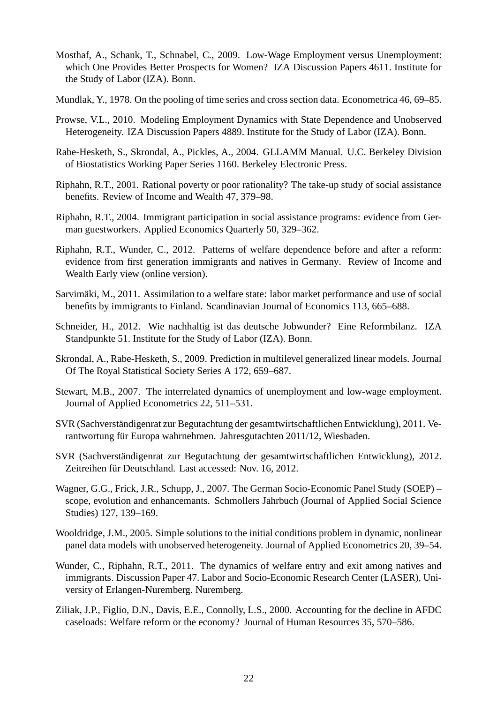- Mosthaf, A., Schank, T., Schnabel, C., 2009. Low-Wage Employment versus Unemployment: which One Provides Better Prospects for Women? IZA Discussion Papers 4611. Institute for the Study of Labor (IZA). Bonn.
- Mundlak, Y., 1978. On the pooling of time series and cross section data. Econometrica 46, 69–85.
- Prowse, V.L., 2010. Modeling Employment Dynamics with State Dependence and Unobserved Heterogeneity. IZA Discussion Papers 4889. Institute for the Study of Labor (IZA). Bonn.
- Rabe-Hesketh, S., Skrondal, A., Pickles, A., 2004. GLLAMM Manual. U.C. Berkeley Division of Biostatistics Working Paper Series 1160. Berkeley Electronic Press.
- Riphahn, R.T., 2001. Rational poverty or poor rationality? The take-up study of social assistance benefits. Review of Income and Wealth 47, 379–98.
- Riphahn, R.T., 2004. Immigrant participation in social assistance programs: evidence from German guestworkers. Applied Economics Quarterly 50, 329–362.
- Riphahn, R.T., Wunder, C., 2012. Patterns of welfare dependence before and after a reform: evidence from first generation immigrants and natives in Germany. Review of Income and Wealth Early view (online version).
- Sarvimäki, M., 2011. Assimilation to a welfare state: labor market performance and use of social benefits by immigrants to Finland. Scandinavian Journal of Economics 113, 665–688.
- Schneider, H., 2012. Wie nachhaltig ist das deutsche Jobwunder? Eine Reformbilanz. IZA Standpunkte 51. Institute for the Study of Labor (IZA). Bonn.
- Skrondal, A., Rabe-Hesketh, S., 2009. Prediction in multilevel generalized linear models. Journal Of The Royal Statistical Society Series A 172, 659–687.
- Stewart, M.B., 2007. The interrelated dynamics of unemployment and low-wage employment. Journal of Applied Econometrics 22, 511–531.
- SVR (Sachverständigenrat zur Begutachtung der gesamtwirtschaftlichen Entwicklung), 2011. Verantwortung für Europa wahrnehmen. Jahresgutachten 2011/12, Wiesbaden.
- SVR (Sachverständigenrat zur Begutachtung der gesamtwirtschaftlichen Entwicklung), 2012. Zeitreihen für Deutschland. Last accessed: Nov. 16, 2012.
- Wagner, G.G., Frick, J.R., Schupp, J., 2007. The German Socio-Economic Panel Study (SOEP) scope, evolution and enhancemants. Schmollers Jahrbuch (Journal of Applied Social Science Studies) 127, 139–169.
- Wooldridge, J.M., 2005. Simple solutions to the initial conditions problem in dynamic, nonlinear panel data models with unobserved heterogeneity. Journal of Applied Econometrics 20, 39–54.
- Wunder, C., Riphahn, R.T., 2011. The dynamics of welfare entry and exit among natives and immigrants. Discussion Paper 47. Labor and Socio-Economic Research Center (LASER), University of Erlangen-Nuremberg. Nuremberg.
- Ziliak, J.P., Figlio, D.N., Davis, E.E., Connolly, L.S., 2000. Accounting for the decline in AFDC caseloads: Welfare reform or the economy? Journal of Human Resources 35, 570–586.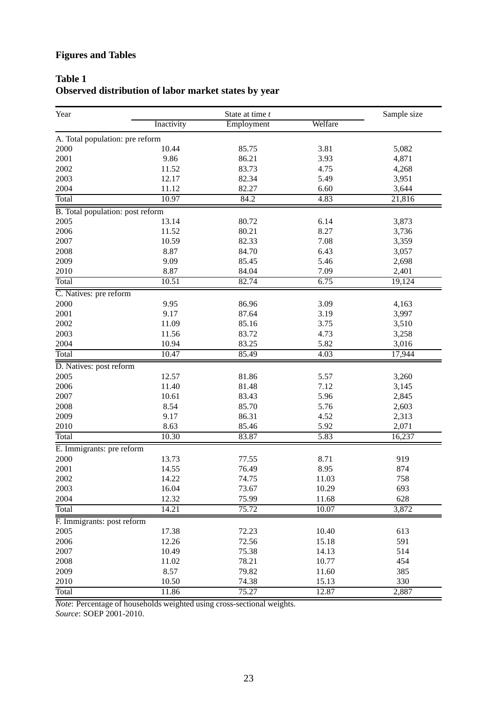# **Figures and Tables**

# **Table 1 Observed distribution of labor market states by year**

| Year                               |                | State at time t |                   |              |  |  |  |
|------------------------------------|----------------|-----------------|-------------------|--------------|--|--|--|
|                                    | Inactivity     | Employment      | Welfare           | Sample size  |  |  |  |
| A. Total population: pre reform    |                |                 |                   |              |  |  |  |
| 2000                               | 10.44          | 85.75           | 3.81              | 5,082        |  |  |  |
| 2001                               | 9.86           | 86.21           | 3.93              | 4,871        |  |  |  |
| 2002                               | 11.52          | 83.73           | 4.75              | 4,268        |  |  |  |
| 2003                               | 12.17          | 82.34           | 5.49              | 3,951        |  |  |  |
| 2004                               | 11.12          | 82.27           | 6.60              | 3,644        |  |  |  |
| Total                              | 10.97          | 84.2            | 4.83              | 21,816       |  |  |  |
| B. Total population: post reform   |                |                 |                   |              |  |  |  |
| 2005                               | 13.14          | 80.72           | 6.14              | 3,873        |  |  |  |
| 2006                               | 11.52          | 80.21           | 8.27              | 3,736        |  |  |  |
| 2007                               | 10.59          | 82.33           | 7.08              | 3,359        |  |  |  |
| 2008                               | 8.87           | 84.70           | 6.43              | 3,057        |  |  |  |
| 2009                               | 9.09           | 85.45           | 5.46              | 2,698        |  |  |  |
| 2010                               | 8.87           | 84.04           | 7.09              | 2,401        |  |  |  |
| <b>Total</b>                       | 10.51          | 82.74           | 6.75              | 19,124       |  |  |  |
| C. Natives: pre reform             |                |                 |                   |              |  |  |  |
| 2000                               | 9.95           | 86.96           | 3.09              | 4,163        |  |  |  |
| 2001                               | 9.17           | 87.64           | 3.19              | 3,997        |  |  |  |
| 2002                               | 11.09          | 85.16           | 3.75              | 3,510        |  |  |  |
| 2003                               | 11.56          | 83.72           | 4.73              | 3,258        |  |  |  |
| 2004                               | 10.94          | 83.25           | 5.82              | 3,016        |  |  |  |
| Total                              | 10.47          | 85.49           | 4.03              | 17,944       |  |  |  |
| D. Natives: post reform            |                |                 |                   |              |  |  |  |
| 2005                               | 12.57          | 81.86           | 5.57              | 3,260        |  |  |  |
| 2006                               | 11.40          | 81.48           | 7.12              | 3,145        |  |  |  |
| 2007                               | 10.61          | 83.43           | 5.96              | 2,845        |  |  |  |
| 2008                               | 8.54           | 85.70           | 5.76              | 2,603        |  |  |  |
| 2009                               | 9.17           | 86.31           | 4.52              | 2,313        |  |  |  |
| 2010                               | 8.63           | 85.46           | 5.92              | 2,071        |  |  |  |
| Total                              | 10.30          | 83.87           | $\overline{5.83}$ | 16,237       |  |  |  |
|                                    |                |                 |                   |              |  |  |  |
| E. Immigrants: pre reform<br>2000  | 13.73          | 77.55           | 8.71              | 919          |  |  |  |
| 2001                               | 14.55          | 76.49           | 8.95              | 874          |  |  |  |
|                                    |                |                 |                   |              |  |  |  |
| $2002\,$                           | 14.22          | 74.75           | 11.03             | 758          |  |  |  |
| 2003                               | 16.04          | 73.67           | 10.29             | 693          |  |  |  |
| 2004                               | 12.32<br>14.21 | 75.99<br>75.72  | 11.68<br>10.07    | 628<br>3,872 |  |  |  |
| Total                              |                |                 |                   |              |  |  |  |
| F. Immigrants: post reform<br>2005 | 17.38          |                 |                   |              |  |  |  |
|                                    |                | 72.23           | 10.40             | 613          |  |  |  |
| 2006                               | 12.26          | 72.56           | 15.18             | 591          |  |  |  |
| 2007                               | 10.49          | 75.38           | 14.13             | 514          |  |  |  |
| 2008                               | 11.02          | 78.21           | 10.77             | 454          |  |  |  |
| 2009                               | 8.57           | 79.82           | 11.60             | 385          |  |  |  |
| 2010                               | 10.50          | 74.38           | 15.13             | 330          |  |  |  |
| <b>Total</b>                       | 11.86          | 75.27           | 12.87             | 2,887        |  |  |  |

*Note*: Percentage of households weighted using cross-sectional weights.

*Source*: SOEP 2001-2010.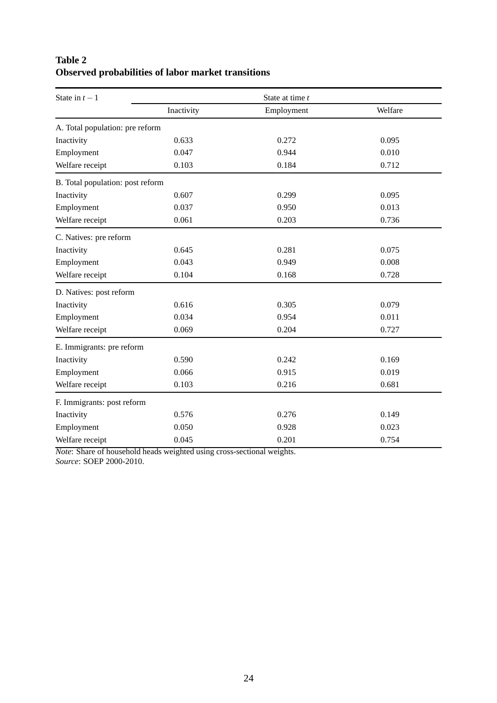# **Table 2 Observed probabilities of labor market transitions**

| State in $t-1$                   |            | State at time t |         |
|----------------------------------|------------|-----------------|---------|
|                                  | Inactivity | Employment      | Welfare |
| A. Total population: pre reform  |            |                 |         |
| Inactivity                       | 0.633      | 0.272           | 0.095   |
| Employment                       | 0.047      | 0.944           | 0.010   |
| Welfare receipt                  | 0.103      | 0.184           | 0.712   |
| B. Total population: post reform |            |                 |         |
| Inactivity                       | 0.607      | 0.299           | 0.095   |
| Employment                       | 0.037      | 0.950           | 0.013   |
| Welfare receipt                  | 0.061      | 0.203           | 0.736   |
| C. Natives: pre reform           |            |                 |         |
| Inactivity                       | 0.645      | 0.281           | 0.075   |
| Employment                       | 0.043      | 0.949           | 0.008   |
| Welfare receipt                  | 0.104      | 0.168           | 0.728   |
| D. Natives: post reform          |            |                 |         |
| Inactivity                       | 0.616      | 0.305           | 0.079   |
| Employment                       | 0.034      | 0.954           | 0.011   |
| Welfare receipt                  | 0.069      | 0.204           | 0.727   |
| E. Immigrants: pre reform        |            |                 |         |
| Inactivity                       | 0.590      | 0.242           | 0.169   |
| Employment                       | 0.066      | 0.915           | 0.019   |
| Welfare receipt                  | 0.103      | 0.216           | 0.681   |
| F. Immigrants: post reform       |            |                 |         |
| Inactivity                       | 0.576      | 0.276           | 0.149   |
| Employment                       | 0.050      | 0.928           | 0.023   |
| Welfare receipt                  | 0.045      | 0.201           | 0.754   |

*Note*: Share of household heads weighted using cross-sectional weights. *Source*: SOEP 2000-2010.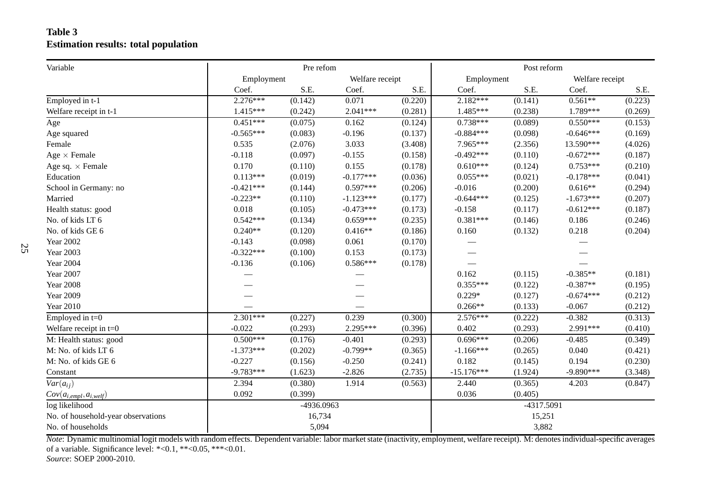### **Table 3Estimation results: total population**

| Variable                           |             | Pre refom  |                 |         | Post reform  |            |                 |         |
|------------------------------------|-------------|------------|-----------------|---------|--------------|------------|-----------------|---------|
|                                    | Employment  |            | Welfare receipt |         | Employment   |            | Welfare receipt |         |
|                                    | Coef.       | S.E.       | Coef.           | S.E.    | Coef.        | S.E.       | Coef.           | S.E.    |
| Employed in t-1                    | $2.276***$  | (0.142)    | 0.071           | (0.220) | $2.182***$   | (0.141)    | $0.561**$       | (0.223) |
| Welfare receipt in t-1             | $1.415***$  | (0.242)    | $2.041***$      | (0.281) | 1.485***     | (0.238)    | 1.789***        | (0.269) |
| Age                                | $0.451***$  | (0.075)    | 0.162           | (0.124) | $0.738***$   | (0.089)    | $0.550***$      | (0.153) |
| Age squared                        | $-0.565***$ | (0.083)    | $-0.196$        | (0.137) | $-0.884***$  | (0.098)    | $-0.646***$     | (0.169) |
| Female                             | 0.535       | (2.076)    | 3.033           | (3.408) | 7.965***     | (2.356)    | 13.590***       | (4.026) |
| Age $\times$ Female                | $-0.118$    | (0.097)    | $-0.155$        | (0.158) | $-0.492***$  | (0.110)    | $-0.672***$     | (0.187) |
| Age sq. $\times$ Female            | 0.170       | (0.110)    | 0.155           | (0.178) | $0.610***$   | (0.124)    | $0.753***$      | (0.210) |
| Education                          | $0.113***$  | (0.019)    | $-0.177***$     | (0.036) | $0.055***$   | (0.021)    | $-0.178***$     | (0.041) |
| School in Germany: no              | $-0.421***$ | (0.144)    | $0.597***$      | (0.206) | $-0.016$     | (0.200)    | $0.616**$       | (0.294) |
| Married                            | $-0.223**$  | (0.110)    | $-1.123***$     | (0.177) | $-0.644***$  | (0.125)    | $-1.673***$     | (0.207) |
| Health status: good                | 0.018       | (0.105)    | $-0.473***$     | (0.173) | $-0.158$     | (0.117)    | $-0.612***$     | (0.187) |
| No. of kids LT 6                   | $0.542***$  | (0.134)    | $0.659***$      | (0.235) | $0.381***$   | (0.146)    | 0.186           | (0.246) |
| No. of kids GE 6                   | $0.240**$   | (0.120)    | $0.416**$       | (0.186) | 0.160        | (0.132)    | 0.218           | (0.204) |
| <b>Year 2002</b>                   | $-0.143$    | (0.098)    | 0.061           | (0.170) |              |            |                 |         |
| <b>Year 2003</b>                   | $-0.322***$ | (0.100)    | 0.153           | (0.173) |              |            |                 |         |
| <b>Year 2004</b>                   | $-0.136$    | (0.106)    | $0.586***$      | (0.178) |              |            |                 |         |
| <b>Year 2007</b>                   |             |            |                 |         | 0.162        | (0.115)    | $-0.385**$      | (0.181) |
| <b>Year 2008</b>                   |             |            |                 |         | $0.355***$   | (0.122)    | $-0.387**$      | (0.195) |
| <b>Year 2009</b>                   |             |            |                 |         | $0.229*$     | (0.127)    | $-0.674***$     | (0.212) |
| <b>Year 2010</b>                   |             |            |                 |         | $0.266**$    | (0.133)    | $-0.067$        | (0.212) |
| Employed in $t=0$                  | $2.301***$  | (0.227)    | 0.239           | (0.300) | $2.576***$   | (0.222)    | $-0.382$        | (0.313) |
| Welfare receipt in $t=0$           | $-0.022$    | (0.293)    | 2.295***        | (0.396) | 0.402        | (0.293)    | 2.991***        | (0.410) |
| M: Health status: good             | $0.500***$  | (0.176)    | $-0.401$        | (0.293) | $0.696***$   | (0.206)    | $-0.485$        | (0.349) |
| M: No. of kids LT 6                | $-1.373***$ | (0.202)    | $-0.799**$      | (0.365) | $-1.166***$  | (0.265)    | 0.040           | (0.421) |
| M: No. of kids GE 6                | $-0.227$    | (0.156)    | $-0.250$        | (0.241) | 0.182        | (0.145)    | 0.194           | (0.230) |
| Constant                           | $-9.783***$ | (1.623)    | $-2.826$        | (2.735) | $-15.176***$ | (1.924)    | $-9.890***$     | (3.348) |
| $Var(a_{ij})$                      | 2.394       | (0.380)    | 1.914           | (0.563) | 2.440        | (0.365)    | 4.203           | (0.847) |
| $Cov(a_{i,empl}, a_{i, well})$     | 0.092       | (0.399)    |                 |         | 0.036        | (0.405)    |                 |         |
| log likelihood                     |             | -4936.0963 |                 |         |              | -4317.5091 |                 |         |
| No. of household-year observations |             | 16,734     |                 |         |              | 15,251     |                 |         |
| No. of households                  |             | 5,094      |                 |         |              | 3,882      |                 |         |

*Note*: Dynamic multinomial logit models with random effects. Dependent variable: labor market state (inactivity, employment, welfare receipt). M: denotes individual-specific averagesof <sup>a</sup> variable. Significance level: \*<0.1, \*\*<0.05, \*\*\*<0.01.

*Source*: SOEP 2000-2010.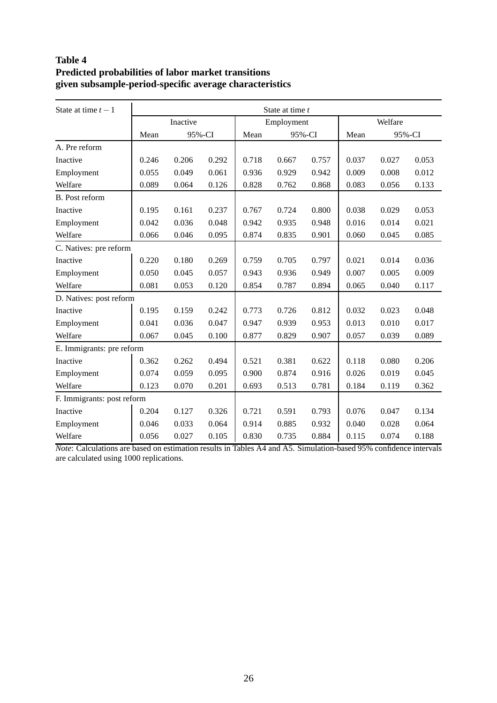# **Table 4 Predicted probabilities of labor market transitions given subsample-period-specific average characteristics**

| State at time $t-1$        | State at time t |          |        |       |            |        |       |         |       |
|----------------------------|-----------------|----------|--------|-------|------------|--------|-------|---------|-------|
|                            |                 | Inactive |        |       | Employment |        |       | Welfare |       |
|                            | Mean            |          | 95%-CI | Mean  |            | 95%-CI | Mean  | 95%-CI  |       |
| A. Pre reform              |                 |          |        |       |            |        |       |         |       |
| Inactive                   | 0.246           | 0.206    | 0.292  | 0.718 | 0.667      | 0.757  | 0.037 | 0.027   | 0.053 |
| Employment                 | 0.055           | 0.049    | 0.061  | 0.936 | 0.929      | 0.942  | 0.009 | 0.008   | 0.012 |
| Welfare                    | 0.089           | 0.064    | 0.126  | 0.828 | 0.762      | 0.868  | 0.083 | 0.056   | 0.133 |
| <b>B.</b> Post reform      |                 |          |        |       |            |        |       |         |       |
| Inactive                   | 0.195           | 0.161    | 0.237  | 0.767 | 0.724      | 0.800  | 0.038 | 0.029   | 0.053 |
| Employment                 | 0.042           | 0.036    | 0.048  | 0.942 | 0.935      | 0.948  | 0.016 | 0.014   | 0.021 |
| Welfare                    | 0.066           | 0.046    | 0.095  | 0.874 | 0.835      | 0.901  | 0.060 | 0.045   | 0.085 |
| C. Natives: pre reform     |                 |          |        |       |            |        |       |         |       |
| Inactive                   | 0.220           | 0.180    | 0.269  | 0.759 | 0.705      | 0.797  | 0.021 | 0.014   | 0.036 |
| Employment                 | 0.050           | 0.045    | 0.057  | 0.943 | 0.936      | 0.949  | 0.007 | 0.005   | 0.009 |
| Welfare                    | 0.081           | 0.053    | 0.120  | 0.854 | 0.787      | 0.894  | 0.065 | 0.040   | 0.117 |
| D. Natives: post reform    |                 |          |        |       |            |        |       |         |       |
| Inactive                   | 0.195           | 0.159    | 0.242  | 0.773 | 0.726      | 0.812  | 0.032 | 0.023   | 0.048 |
| Employment                 | 0.041           | 0.036    | 0.047  | 0.947 | 0.939      | 0.953  | 0.013 | 0.010   | 0.017 |
| Welfare                    | 0.067           | 0.045    | 0.100  | 0.877 | 0.829      | 0.907  | 0.057 | 0.039   | 0.089 |
| E. Immigrants: pre reform  |                 |          |        |       |            |        |       |         |       |
| Inactive                   | 0.362           | 0.262    | 0.494  | 0.521 | 0.381      | 0.622  | 0.118 | 0.080   | 0.206 |
| Employment                 | 0.074           | 0.059    | 0.095  | 0.900 | 0.874      | 0.916  | 0.026 | 0.019   | 0.045 |
| Welfare                    | 0.123           | 0.070    | 0.201  | 0.693 | 0.513      | 0.781  | 0.184 | 0.119   | 0.362 |
| F. Immigrants: post reform |                 |          |        |       |            |        |       |         |       |
| Inactive                   | 0.204           | 0.127    | 0.326  | 0.721 | 0.591      | 0.793  | 0.076 | 0.047   | 0.134 |
| Employment                 | 0.046           | 0.033    | 0.064  | 0.914 | 0.885      | 0.932  | 0.040 | 0.028   | 0.064 |
| Welfare                    | 0.056           | 0.027    | 0.105  | 0.830 | 0.735      | 0.884  | 0.115 | 0.074   | 0.188 |

*Note*: Calculations are based on estimation results in Tables A4 and A5. Simulation-based 95% confidence intervals are calculated using 1000 replications.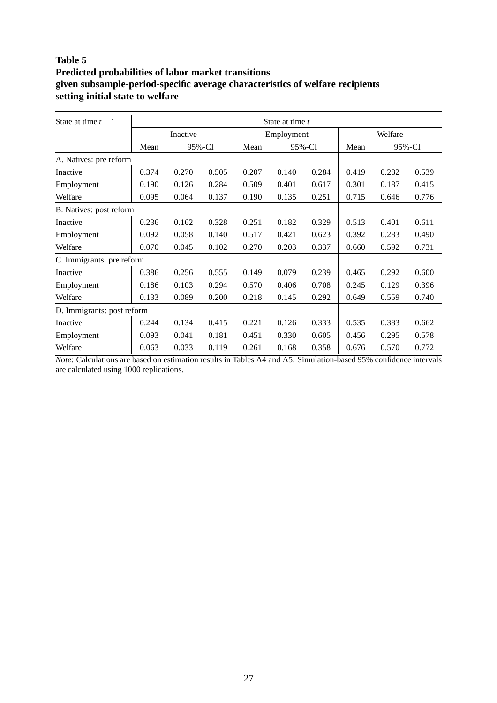### **Table 5 Predicted probabilities of labor market transitions given subsample-period-specific average characteristics of welfare recipients setting initial state to welfare**

| State at time $t-1$        | State at time t |          |        |       |            |        |       |         |        |
|----------------------------|-----------------|----------|--------|-------|------------|--------|-------|---------|--------|
|                            |                 | Inactive |        |       | Employment |        |       | Welfare |        |
|                            | Mean            |          | 95%-CI | Mean  |            | 95%-CI | Mean  |         | 95%-CI |
| A. Natives: pre reform     |                 |          |        |       |            |        |       |         |        |
| Inactive                   | 0.374           | 0.270    | 0.505  | 0.207 | 0.140      | 0.284  | 0.419 | 0.282   | 0.539  |
| Employment                 | 0.190           | 0.126    | 0.284  | 0.509 | 0.401      | 0.617  | 0.301 | 0.187   | 0.415  |
| Welfare                    | 0.095           | 0.064    | 0.137  | 0.190 | 0.135      | 0.251  | 0.715 | 0.646   | 0.776  |
| B. Natives: post reform    |                 |          |        |       |            |        |       |         |        |
| Inactive                   | 0.236           | 0.162    | 0.328  | 0.251 | 0.182      | 0.329  | 0.513 | 0.401   | 0.611  |
| Employment                 | 0.092           | 0.058    | 0.140  | 0.517 | 0.421      | 0.623  | 0.392 | 0.283   | 0.490  |
| Welfare                    | 0.070           | 0.045    | 0.102  | 0.270 | 0.203      | 0.337  | 0.660 | 0.592   | 0.731  |
| C. Immigrants: pre reform  |                 |          |        |       |            |        |       |         |        |
| Inactive                   | 0.386           | 0.256    | 0.555  | 0.149 | 0.079      | 0.239  | 0.465 | 0.292   | 0.600  |
| Employment                 | 0.186           | 0.103    | 0.294  | 0.570 | 0.406      | 0.708  | 0.245 | 0.129   | 0.396  |
| Welfare                    | 0.133           | 0.089    | 0.200  | 0.218 | 0.145      | 0.292  | 0.649 | 0.559   | 0.740  |
| D. Immigrants: post reform |                 |          |        |       |            |        |       |         |        |
| Inactive                   | 0.244           | 0.134    | 0.415  | 0.221 | 0.126      | 0.333  | 0.535 | 0.383   | 0.662  |
| Employment                 | 0.093           | 0.041    | 0.181  | 0.451 | 0.330      | 0.605  | 0.456 | 0.295   | 0.578  |
| Welfare                    | 0.063           | 0.033    | 0.119  | 0.261 | 0.168      | 0.358  | 0.676 | 0.570   | 0.772  |

*Note*: Calculations are based on estimation results in Tables A4 and A5. Simulation-based 95% confidence intervals are calculated using 1000 replications.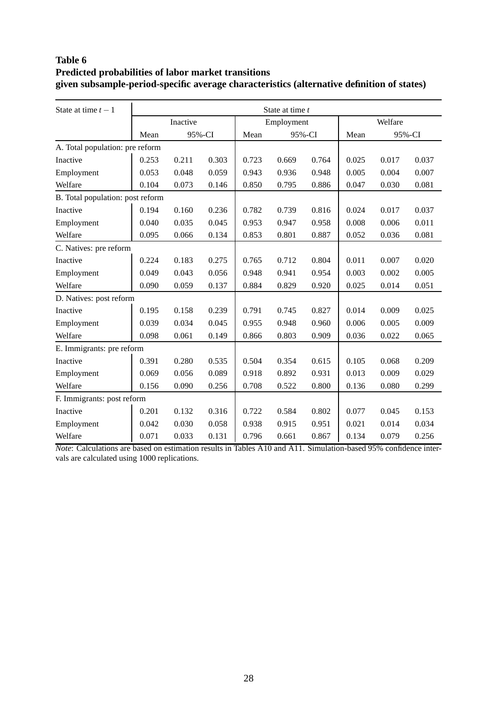# **Table 6 Predicted probabilities of labor market transitions given subsample-period-specific average characteristics (alternative definition of states)**

| State at time $t-1$              | State at time t |          |        |       |            |        |       |         |       |
|----------------------------------|-----------------|----------|--------|-------|------------|--------|-------|---------|-------|
|                                  |                 | Inactive |        |       | Employment |        |       | Welfare |       |
|                                  | Mean            |          | 95%-CI | Mean  |            | 95%-CI | Mean  | 95%-CI  |       |
| A. Total population: pre reform  |                 |          |        |       |            |        |       |         |       |
| Inactive                         | 0.253           | 0.211    | 0.303  | 0.723 | 0.669      | 0.764  | 0.025 | 0.017   | 0.037 |
| Employment                       | 0.053           | 0.048    | 0.059  | 0.943 | 0.936      | 0.948  | 0.005 | 0.004   | 0.007 |
| Welfare                          | 0.104           | 0.073    | 0.146  | 0.850 | 0.795      | 0.886  | 0.047 | 0.030   | 0.081 |
| B. Total population: post reform |                 |          |        |       |            |        |       |         |       |
| Inactive                         | 0.194           | 0.160    | 0.236  | 0.782 | 0.739      | 0.816  | 0.024 | 0.017   | 0.037 |
| Employment                       | 0.040           | 0.035    | 0.045  | 0.953 | 0.947      | 0.958  | 0.008 | 0.006   | 0.011 |
| Welfare                          | 0.095           | 0.066    | 0.134  | 0.853 | 0.801      | 0.887  | 0.052 | 0.036   | 0.081 |
| C. Natives: pre reform           |                 |          |        |       |            |        |       |         |       |
| Inactive                         | 0.224           | 0.183    | 0.275  | 0.765 | 0.712      | 0.804  | 0.011 | 0.007   | 0.020 |
| Employment                       | 0.049           | 0.043    | 0.056  | 0.948 | 0.941      | 0.954  | 0.003 | 0.002   | 0.005 |
| Welfare                          | 0.090           | 0.059    | 0.137  | 0.884 | 0.829      | 0.920  | 0.025 | 0.014   | 0.051 |
| D. Natives: post reform          |                 |          |        |       |            |        |       |         |       |
| Inactive                         | 0.195           | 0.158    | 0.239  | 0.791 | 0.745      | 0.827  | 0.014 | 0.009   | 0.025 |
| Employment                       | 0.039           | 0.034    | 0.045  | 0.955 | 0.948      | 0.960  | 0.006 | 0.005   | 0.009 |
| Welfare                          | 0.098           | 0.061    | 0.149  | 0.866 | 0.803      | 0.909  | 0.036 | 0.022   | 0.065 |
| E. Immigrants: pre reform        |                 |          |        |       |            |        |       |         |       |
| Inactive                         | 0.391           | 0.280    | 0.535  | 0.504 | 0.354      | 0.615  | 0.105 | 0.068   | 0.209 |
| Employment                       | 0.069           | 0.056    | 0.089  | 0.918 | 0.892      | 0.931  | 0.013 | 0.009   | 0.029 |
| Welfare                          | 0.156           | 0.090    | 0.256  | 0.708 | 0.522      | 0.800  | 0.136 | 0.080   | 0.299 |
| F. Immigrants: post reform       |                 |          |        |       |            |        |       |         |       |
| Inactive                         | 0.201           | 0.132    | 0.316  | 0.722 | 0.584      | 0.802  | 0.077 | 0.045   | 0.153 |
| Employment                       | 0.042           | 0.030    | 0.058  | 0.938 | 0.915      | 0.951  | 0.021 | 0.014   | 0.034 |
| Welfare                          | 0.071           | 0.033    | 0.131  | 0.796 | 0.661      | 0.867  | 0.134 | 0.079   | 0.256 |

*Note*: Calculations are based on estimation results in Tables A10 and A11. Simulation-based 95% confidence intervals are calculated using 1000 replications.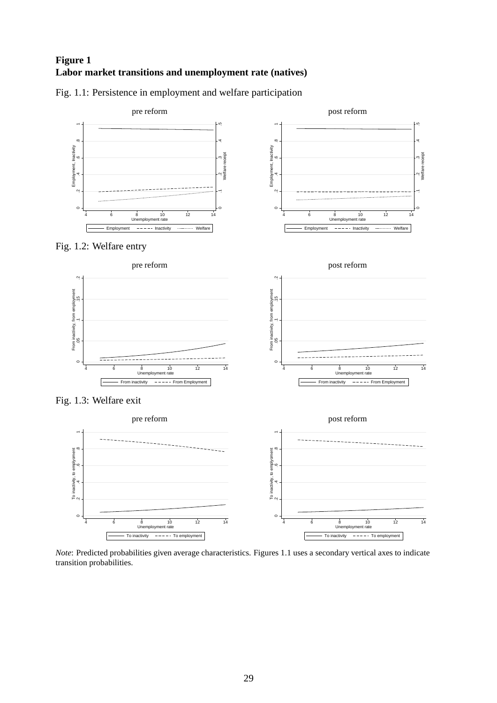# **Figure 1 Labor market transitions and unemployment rate (natives)**



Fig. 1.1: Persistence in employment and welfare participation

*Note*: Predicted probabilities given average characteristics. Figures 1.1 uses a secondary vertical axes to indicate transition probabilities.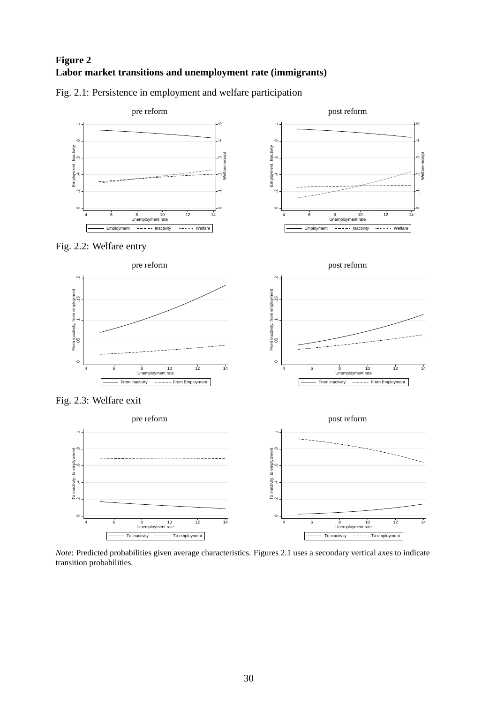# **Figure 2 Labor market transitions and unemployment rate (immigrants)**



Fig. 2.1: Persistence in employment and welfare participation

*Note*: Predicted probabilities given average characteristics. Figures 2.1 uses a secondary vertical axes to indicate transition probabilities.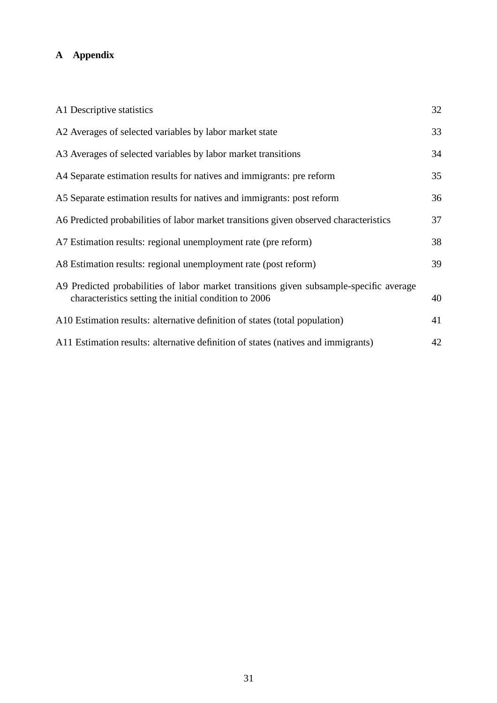# **A Appendix**

| A1 Descriptive statistics                                                                                                                        | 32 |
|--------------------------------------------------------------------------------------------------------------------------------------------------|----|
| A2 Averages of selected variables by labor market state                                                                                          | 33 |
| A3 Averages of selected variables by labor market transitions                                                                                    | 34 |
| A4 Separate estimation results for natives and immigrants: pre reform                                                                            | 35 |
| A5 Separate estimation results for natives and immigrants: post reform                                                                           | 36 |
| A6 Predicted probabilities of labor market transitions given observed characteristics                                                            | 37 |
| A7 Estimation results: regional unemployment rate (pre reform)                                                                                   | 38 |
| A8 Estimation results: regional unemployment rate (post reform)                                                                                  | 39 |
| A9 Predicted probabilities of labor market transitions given subsample-specific average<br>characteristics setting the initial condition to 2006 | 40 |
| A10 Estimation results: alternative definition of states (total population)                                                                      | 41 |
| A11 Estimation results: alternative definition of states (natives and immigrants)                                                                | 42 |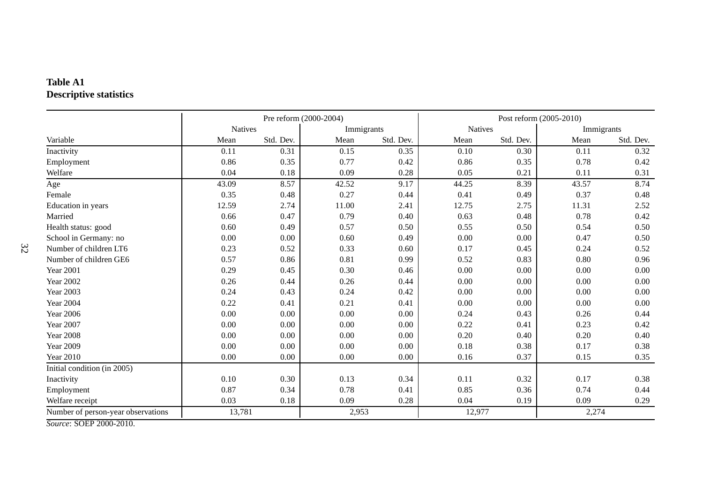# **Table A1Descriptive statistics**

|                                                       |                |           | Pre reform (2000-2004) |           | Post reform (2005-2010) |           |       |            |  |
|-------------------------------------------------------|----------------|-----------|------------------------|-----------|-------------------------|-----------|-------|------------|--|
|                                                       | <b>Natives</b> |           | Immigrants             |           | <b>Natives</b>          |           |       | Immigrants |  |
| Variable                                              | Mean           | Std. Dev. | Mean                   | Std. Dev. | Mean                    | Std. Dev. | Mean  | Std. Dev.  |  |
| Inactivity                                            | 0.11           | 0.31      | 0.15                   | 0.35      | 0.10                    | 0.30      | 0.11  | 0.32       |  |
| Employment                                            | 0.86           | 0.35      | 0.77                   | 0.42      | 0.86                    | 0.35      | 0.78  | 0.42       |  |
| Welfare                                               | 0.04           | 0.18      | 0.09                   | 0.28      | 0.05                    | 0.21      | 0.11  | 0.31       |  |
| Age                                                   | 43.09          | 8.57      | 42.52                  | 9.17      | 44.25                   | 8.39      | 43.57 | 8.74       |  |
| Female                                                | 0.35           | 0.48      | 0.27                   | 0.44      | 0.41                    | 0.49      | 0.37  | 0.48       |  |
| Education in years                                    | 12.59          | 2.74      | 11.00                  | 2.41      | 12.75                   | 2.75      | 11.31 | 2.52       |  |
| Married                                               | 0.66           | 0.47      | 0.79                   | 0.40      | 0.63                    | 0.48      | 0.78  | 0.42       |  |
| Health status: good                                   | 0.60           | 0.49      | 0.57                   | 0.50      | 0.55                    | 0.50      | 0.54  | 0.50       |  |
| School in Germany: no                                 | 0.00           | 0.00      | 0.60                   | 0.49      | 0.00                    | 0.00      | 0.47  | 0.50       |  |
| Number of children LT6                                | 0.23           | 0.52      | 0.33                   | 0.60      | 0.17                    | 0.45      | 0.24  | 0.52       |  |
| Number of children GE6                                | 0.57           | 0.86      | 0.81                   | 0.99      | 0.52                    | 0.83      | 0.80  | 0.96       |  |
| <b>Year 2001</b>                                      | 0.29           | 0.45      | 0.30                   | 0.46      | 0.00                    | 0.00      | 0.00  | 0.00       |  |
| <b>Year 2002</b>                                      | 0.26           | 0.44      | 0.26                   | 0.44      | 0.00                    | 0.00      | 0.00  | 0.00       |  |
| <b>Year 2003</b>                                      | 0.24           | 0.43      | 0.24                   | 0.42      | 0.00                    | 0.00      | 0.00  | 0.00       |  |
| <b>Year 2004</b>                                      | 0.22           | 0.41      | 0.21                   | 0.41      | 0.00                    | 0.00      | 0.00  | 0.00       |  |
| <b>Year 2006</b>                                      | 0.00           | 0.00      | 0.00                   | 0.00      | 0.24                    | 0.43      | 0.26  | 0.44       |  |
| <b>Year 2007</b>                                      | 0.00           | 0.00      | 0.00                   | 0.00      | 0.22                    | 0.41      | 0.23  | 0.42       |  |
| <b>Year 2008</b>                                      | $0.00\,$       | 0.00      | 0.00                   | 0.00      | $0.20\,$                | 0.40      | 0.20  | 0.40       |  |
| <b>Year 2009</b>                                      | 0.00           | 0.00      | 0.00                   | 0.00      | 0.18                    | 0.38      | 0.17  | 0.38       |  |
| <b>Year 2010</b>                                      | 0.00           | 0.00      | 0.00                   | 0.00      | 0.16                    | 0.37      | 0.15  | 0.35       |  |
| Initial condition (in 2005)                           |                |           |                        |           |                         |           |       |            |  |
| Inactivity                                            | 0.10           | 0.30      | 0.13                   | 0.34      | 0.11                    | 0.32      | 0.17  | 0.38       |  |
| Employment                                            | 0.87           | 0.34      | 0.78                   | 0.41      | 0.85                    | 0.36      | 0.74  | 0.44       |  |
| Welfare receipt                                       | 0.03           | 0.18      | 0.09                   | 0.28      | 0.04                    | 0.19      | 0.09  | 0.29       |  |
| Number of person-year observations<br>$00F$ $0000000$ | 13,781         |           | 2,953                  |           | 12,977                  |           | 2,274 |            |  |

*Source*: SOEP 2000-2010.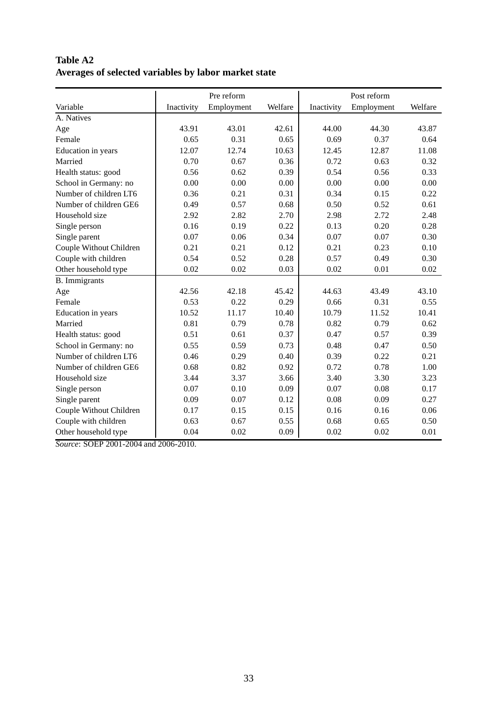|                         | Pre reform |            |         |            | Post reform |         |
|-------------------------|------------|------------|---------|------------|-------------|---------|
| Variable                | Inactivity | Employment | Welfare | Inactivity | Employment  | Welfare |
| A. Natives              |            |            |         |            |             |         |
| Age                     | 43.91      | 43.01      | 42.61   | 44.00      | 44.30       | 43.87   |
| Female                  | 0.65       | 0.31       | 0.65    | 0.69       | 0.37        | 0.64    |
| Education in years      | 12.07      | 12.74      | 10.63   | 12.45      | 12.87       | 11.08   |
| Married                 | 0.70       | 0.67       | 0.36    | 0.72       | 0.63        | 0.32    |
| Health status: good     | 0.56       | 0.62       | 0.39    | 0.54       | 0.56        | 0.33    |
| School in Germany: no   | 0.00       | 0.00       | 0.00    | 0.00       | 0.00        | 0.00    |
| Number of children LT6  | 0.36       | 0.21       | 0.31    | 0.34       | 0.15        | 0.22    |
| Number of children GE6  | 0.49       | 0.57       | 0.68    | 0.50       | 0.52        | 0.61    |
| Household size          | 2.92       | 2.82       | 2.70    | 2.98       | 2.72        | 2.48    |
| Single person           | 0.16       | 0.19       | 0.22    | 0.13       | 0.20        | 0.28    |
| Single parent           | 0.07       | 0.06       | 0.34    | 0.07       | 0.07        | 0.30    |
| Couple Without Children | 0.21       | 0.21       | 0.12    | 0.21       | 0.23        | 0.10    |
| Couple with children    | 0.54       | 0.52       | 0.28    | 0.57       | 0.49        | 0.30    |
| Other household type    | 0.02       | 0.02       | 0.03    | 0.02       | 0.01        | 0.02    |
| <b>B.</b> Immigrants    |            |            |         |            |             |         |
| Age                     | 42.56      | 42.18      | 45.42   | 44.63      | 43.49       | 43.10   |
| Female                  | 0.53       | 0.22       | 0.29    | 0.66       | 0.31        | 0.55    |
| Education in years      | 10.52      | 11.17      | 10.40   | 10.79      | 11.52       | 10.41   |
| Married                 | 0.81       | 0.79       | 0.78    | 0.82       | 0.79        | 0.62    |
| Health status: good     | 0.51       | 0.61       | 0.37    | 0.47       | 0.57        | 0.39    |
| School in Germany: no   | 0.55       | 0.59       | 0.73    | 0.48       | 0.47        | 0.50    |
| Number of children LT6  | 0.46       | 0.29       | 0.40    | 0.39       | 0.22        | 0.21    |
| Number of children GE6  | 0.68       | 0.82       | 0.92    | 0.72       | 0.78        | 1.00    |
| Household size          | 3.44       | 3.37       | 3.66    | 3.40       | 3.30        | 3.23    |
| Single person           | 0.07       | 0.10       | 0.09    | 0.07       | 0.08        | 0.17    |
| Single parent           | 0.09       | 0.07       | 0.12    | 0.08       | 0.09        | 0.27    |
| Couple Without Children | 0.17       | 0.15       | 0.15    | 0.16       | 0.16        | 0.06    |
| Couple with children    | 0.63       | 0.67       | 0.55    | 0.68       | 0.65        | 0.50    |
| Other household type    | 0.04       | 0.02       | 0.09    | 0.02       | 0.02        | 0.01    |

**Table A2 Averages of selected variables by labor market state**

*Source*: SOEP 2001-2004 and 2006-2010.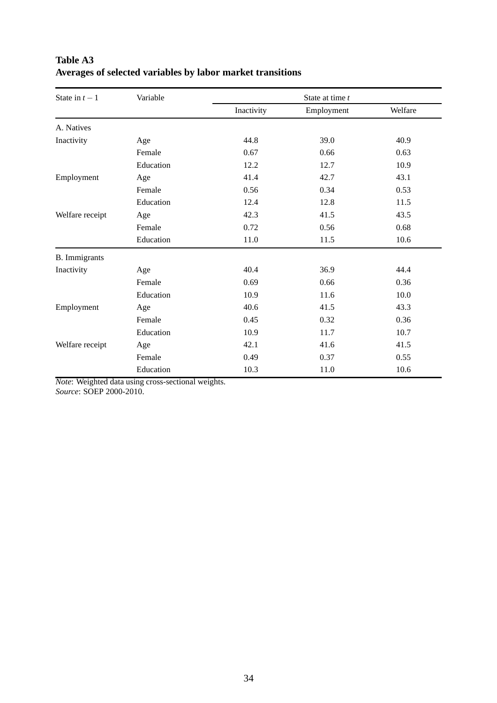| State in $t-1$       | Variable  |            | State at time t |         |  |  |  |  |  |
|----------------------|-----------|------------|-----------------|---------|--|--|--|--|--|
|                      |           | Inactivity | Employment      | Welfare |  |  |  |  |  |
| A. Natives           |           |            |                 |         |  |  |  |  |  |
| Inactivity           | Age       | 44.8       | 39.0            | 40.9    |  |  |  |  |  |
|                      | Female    | 0.67       | 0.66            | 0.63    |  |  |  |  |  |
|                      | Education | 12.2       | 12.7            | 10.9    |  |  |  |  |  |
| Employment           | Age       | 41.4       | 42.7            | 43.1    |  |  |  |  |  |
|                      | Female    | 0.56       | 0.34            | 0.53    |  |  |  |  |  |
|                      | Education | 12.4       | 12.8            | 11.5    |  |  |  |  |  |
| Welfare receipt      | Age       | 42.3       | 41.5            | 43.5    |  |  |  |  |  |
|                      | Female    | 0.72       | 0.56            | 0.68    |  |  |  |  |  |
|                      | Education | 11.0       | 11.5            | 10.6    |  |  |  |  |  |
| <b>B.</b> Immigrants |           |            |                 |         |  |  |  |  |  |
| Inactivity           | Age       | 40.4       | 36.9            | 44.4    |  |  |  |  |  |
|                      | Female    | 0.69       | 0.66            | 0.36    |  |  |  |  |  |
|                      | Education | 10.9       | 11.6            | 10.0    |  |  |  |  |  |
| Employment           | Age       | 40.6       | 41.5            | 43.3    |  |  |  |  |  |
|                      | Female    | 0.45       | 0.32            | 0.36    |  |  |  |  |  |
|                      | Education | 10.9       | 11.7            | 10.7    |  |  |  |  |  |
| Welfare receipt      | Age       | 42.1       | 41.6            | 41.5    |  |  |  |  |  |
|                      | Female    | 0.49       | 0.37            | 0.55    |  |  |  |  |  |
|                      | Education | 10.3       | 11.0            | 10.6    |  |  |  |  |  |

# **Table A3 Averages of selected variables by labor market transitions**

*Note*: Weighted data using cross-sectional weights. *Source*: SOEP 2000-2010.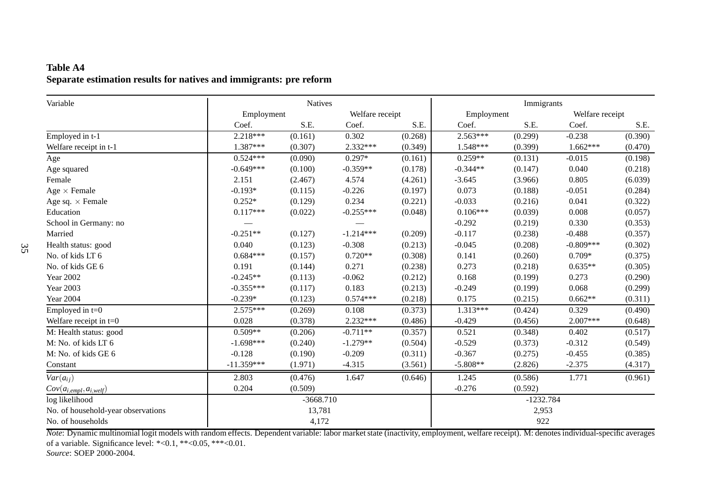# **Table A4Separate estimation results for natives and immigrants: pre reform**

| Variable                           |              | <b>Natives</b> |                 |         | Immigrants |             |                 |         |
|------------------------------------|--------------|----------------|-----------------|---------|------------|-------------|-----------------|---------|
|                                    | Employment   |                | Welfare receipt |         | Employment |             | Welfare receipt |         |
|                                    | Coef.        | S.E.           | Coef.           | S.E.    | Coef.      | S.E.        | Coef.           | S.E.    |
| Employed in t-1                    | $2.218***$   | (0.161)        | 0.302           | (0.268) | $2.563***$ | (0.299)     | $-0.238$        | (0.390) |
| Welfare receipt in t-1             | 1.387***     | (0.307)        | 2.332***        | (0.349) | 1.548***   | (0.399)     | $1.662***$      | (0.470) |
| Age                                | $0.524***$   | (0.090)        | $0.297*$        | (0.161) | $0.259**$  | (0.131)     | $-0.015$        | (0.198) |
| Age squared                        | $-0.649***$  | (0.100)        | $-0.359**$      | (0.178) | $-0.344**$ | (0.147)     | 0.040           | (0.218) |
| Female                             | 2.151        | (2.467)        | 4.574           | (4.261) | $-3.645$   | (3.966)     | 0.805           | (6.039) |
| Age $\times$ Female                | $-0.193*$    | (0.115)        | $-0.226$        | (0.197) | 0.073      | (0.188)     | $-0.051$        | (0.284) |
| Age sq. $\times$ Female            | $0.252*$     | (0.129)        | 0.234           | (0.221) | $-0.033$   | (0.216)     | 0.041           | (0.322) |
| Education                          | $0.117***$   | (0.022)        | $-0.255***$     | (0.048) | $0.106***$ | (0.039)     | 0.008           | (0.057) |
| School in Germany: no              |              |                |                 |         | $-0.292$   | (0.219)     | 0.330           | (0.353) |
| Married                            | $-0.251**$   | (0.127)        | $-1.214***$     | (0.209) | $-0.117$   | (0.238)     | $-0.488$        | (0.357) |
| Health status: good                | 0.040        | (0.123)        | $-0.308$        | (0.213) | $-0.045$   | (0.208)     | $-0.809***$     | (0.302) |
| No. of kids LT 6                   | $0.684***$   | (0.157)        | $0.720**$       | (0.308) | 0.141      | (0.260)     | $0.709*$        | (0.375) |
| No. of kids GE 6                   | 0.191        | (0.144)        | 0.271           | (0.238) | 0.273      | (0.218)     | $0.635**$       | (0.305) |
| <b>Year 2002</b>                   | $-0.245**$   | (0.113)        | $-0.062$        | (0.212) | 0.168      | (0.199)     | 0.273           | (0.290) |
| <b>Year 2003</b>                   | $-0.355***$  | (0.117)        | 0.183           | (0.213) | $-0.249$   | (0.199)     | 0.068           | (0.299) |
| <b>Year 2004</b>                   | $-0.239*$    | (0.123)        | $0.574***$      | (0.218) | 0.175      | (0.215)     | $0.662**$       | (0.311) |
| Employed in $t=0$                  | $2.575***$   | (0.269)        | 0.108           | (0.373) | 1.313***   | (0.424)     | 0.329           | (0.490) |
| Welfare receipt in $t=0$           | 0.028        | (0.378)        | 2.232***        | (0.486) | $-0.429$   | (0.456)     | $2.007***$      | (0.648) |
| M: Health status: good             | $0.509**$    | (0.206)        | $-0.711**$      | (0.357) | 0.521      | (0.348)     | 0.402           | (0.517) |
| M: No. of kids LT 6                | $-1.698***$  | (0.240)        | $-1.279**$      | (0.504) | $-0.529$   | (0.373)     | $-0.312$        | (0.549) |
| M: No. of kids GE 6                | $-0.128$     | (0.190)        | $-0.209$        | (0.311) | $-0.367$   | (0.275)     | $-0.455$        | (0.385) |
| Constant                           | $-11.359***$ | (1.971)        | $-4.315$        | (3.561) | $-5.808**$ | (2.826)     | $-2.375$        | (4.317) |
| $Var(a_{ij})$                      | 2.803        | (0.476)        | 1.647           | (0.646) | 1.245      | (0.586)     | 1.771           | (0.961) |
| $Cov(a_{i,empl}, a_{i, well})$     | 0.204        | (0.509)        |                 |         | $-0.276$   | (0.592)     |                 |         |
| log likelihood                     |              | $-3668.710$    |                 |         |            | $-1232.784$ |                 |         |
| No. of household-year observations |              | 13,781         |                 |         |            | 2,953       |                 |         |
| No. of households                  |              | 4,172          |                 |         |            | 922         |                 |         |

*Note*: Dynamic multinomial logit models with random effects. Dependent variable: labor market state (inactivity, employment, welfare receipt). M: denotes individual-specific averagesof a variable. Significance level: \*<0.1, \*\*<0.05, \*\*\*<0.01.

*Source*: SOEP 2000-2004.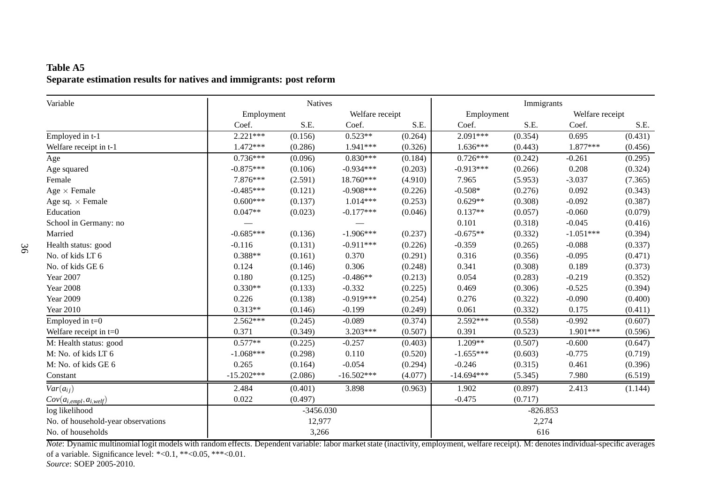# **Table A5Separate estimation results for natives and immigrants: post reform**

| Variable                           |              | <b>Natives</b> |                 |         | Immigrants   |            |                 |         |
|------------------------------------|--------------|----------------|-----------------|---------|--------------|------------|-----------------|---------|
|                                    | Employment   |                | Welfare receipt |         | Employment   |            | Welfare receipt |         |
|                                    | Coef.        | S.E.           | Coef.           | S.E.    | Coef.        | S.E.       | Coef.           | S.E.    |
| Employed in t-1                    | $2.221***$   | (0.156)        | $0.523**$       | (0.264) | 2.091***     | (0.354)    | 0.695           | (0.431) |
| Welfare receipt in t-1             | 1.472***     | (0.286)        | 1.941***        | (0.326) | $1.636***$   | (0.443)    | 1.877***        | (0.456) |
| Age                                | $0.736***$   | (0.096)        | $0.830***$      | (0.184) | $0.726***$   | (0.242)    | $-0.261$        | (0.295) |
| Age squared                        | $-0.875***$  | (0.106)        | $-0.934***$     | (0.203) | $-0.913***$  | (0.266)    | 0.208           | (0.324) |
| Female                             | 7.876***     | (2.591)        | 18.760***       | (4.910) | 7.965        | (5.953)    | $-3.037$        | (7.365) |
| Age $\times$ Female                | $-0.485***$  | (0.121)        | $-0.908***$     | (0.226) | $-0.508*$    | (0.276)    | 0.092           | (0.343) |
| Age sq. $\times$ Female            | $0.600***$   | (0.137)        | $1.014***$      | (0.253) | $0.629**$    | (0.308)    | $-0.092$        | (0.387) |
| Education                          | $0.047**$    | (0.023)        | $-0.177***$     | (0.046) | $0.137**$    | (0.057)    | $-0.060$        | (0.079) |
| School in Germany: no              |              |                |                 |         | 0.101        | (0.318)    | $-0.045$        | (0.416) |
| Married                            | $-0.685***$  | (0.136)        | $-1.906***$     | (0.237) | $-0.675**$   | (0.332)    | $-1.051***$     | (0.394) |
| Health status: good                | $-0.116$     | (0.131)        | $-0.911***$     | (0.226) | $-0.359$     | (0.265)    | $-0.088$        | (0.337) |
| No. of kids LT 6                   | $0.388**$    | (0.161)        | 0.370           | (0.291) | 0.316        | (0.356)    | $-0.095$        | (0.471) |
| No. of kids GE 6                   | 0.124        | (0.146)        | 0.306           | (0.248) | 0.341        | (0.308)    | 0.189           | (0.373) |
| Year 2007                          | 0.180        | (0.125)        | $-0.486**$      | (0.213) | 0.054        | (0.283)    | $-0.219$        | (0.352) |
| <b>Year 2008</b>                   | $0.330**$    | (0.133)        | $-0.332$        | (0.225) | 0.469        | (0.306)    | $-0.525$        | (0.394) |
| <b>Year 2009</b>                   | 0.226        | (0.138)        | $-0.919***$     | (0.254) | 0.276        | (0.322)    | $-0.090$        | (0.400) |
| <b>Year 2010</b>                   | $0.313**$    | (0.146)        | $-0.199$        | (0.249) | 0.061        | (0.332)    | 0.175           | (0.411) |
| Employed in $t=0$                  | $2.562***$   | (0.245)        | $-0.089$        | (0.374) | 2.592***     | (0.558)    | $-0.992$        | (0.607) |
| Welfare receipt in $t=0$           | 0.371        | (0.349)        | 3.203***        | (0.507) | 0.391        | (0.523)    | 1.901***        | (0.596) |
| M: Health status: good             | $0.577**$    | (0.225)        | $-0.257$        | (0.403) | 1.209**      | (0.507)    | $-0.600$        | (0.647) |
| M: No. of kids LT 6                | $-1.068***$  | (0.298)        | 0.110           | (0.520) | $-1.655***$  | (0.603)    | $-0.775$        | (0.719) |
| M: No. of kids GE 6                | 0.265        | (0.164)        | $-0.054$        | (0.294) | $-0.246$     | (0.315)    | 0.461           | (0.396) |
| Constant                           | $-15.202***$ | (2.086)        | $-16.502***$    | (4.077) | $-14.694***$ | (5.345)    | 7.980           | (6.519) |
| $\overline{Var(a_{ij})}$           | 2.484        | (0.401)        | 3.898           | (0.963) | 1.902        | (0.897)    | 2.413           | (1.144) |
| $Cov(a_{i,empl}, a_{i, well})$     | 0.022        | (0.497)        |                 |         | $-0.475$     | (0.717)    |                 |         |
| log likelihood                     |              | $-3456.030$    |                 |         |              | $-826.853$ |                 |         |
| No. of household-year observations |              | 12,977         |                 |         |              | 2,274      |                 |         |
| No. of households                  |              | 3,266          |                 |         |              | 616        |                 |         |

*Note*: Dynamic multinomial logit models with random effects. Dependent variable: labor market state (inactivity, employment, welfare receipt). M: denotes individual-specific averagesof <sup>a</sup> variable. Significance level: \*<0.1, \*\*<0.05, \*\*\*<0.01.

*Source*: SOEP 2005-2010.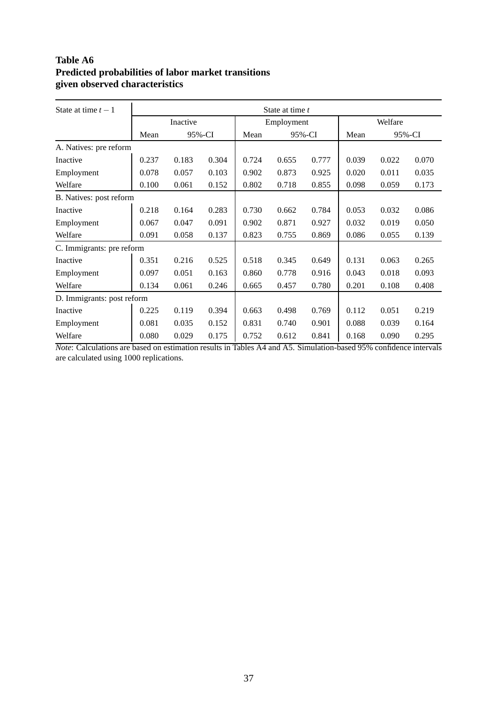# **Table A6 Predicted probabilities of labor market transitions given observed characteristics**

| State at time $t-1$        | State at time t |       |        |            |       |        |         |        |       |
|----------------------------|-----------------|-------|--------|------------|-------|--------|---------|--------|-------|
|                            | Inactive        |       |        | Employment |       |        | Welfare |        |       |
|                            | Mean            |       | 95%-CI | Mean       |       | 95%-CI |         | 95%-CI |       |
| A. Natives: pre reform     |                 |       |        |            |       |        |         |        |       |
| Inactive                   | 0.237           | 0.183 | 0.304  | 0.724      | 0.655 | 0.777  | 0.039   | 0.022  | 0.070 |
| Employment                 | 0.078           | 0.057 | 0.103  | 0.902      | 0.873 | 0.925  | 0.020   | 0.011  | 0.035 |
| Welfare                    | 0.100           | 0.061 | 0.152  | 0.802      | 0.718 | 0.855  | 0.098   | 0.059  | 0.173 |
| B. Natives: post reform    |                 |       |        |            |       |        |         |        |       |
| Inactive                   | 0.218           | 0.164 | 0.283  | 0.730      | 0.662 | 0.784  | 0.053   | 0.032  | 0.086 |
| Employment                 | 0.067           | 0.047 | 0.091  | 0.902      | 0.871 | 0.927  | 0.032   | 0.019  | 0.050 |
| Welfare                    | 0.091           | 0.058 | 0.137  | 0.823      | 0.755 | 0.869  | 0.086   | 0.055  | 0.139 |
| C. Immigrants: pre reform  |                 |       |        |            |       |        |         |        |       |
| Inactive                   | 0.351           | 0.216 | 0.525  | 0.518      | 0.345 | 0.649  | 0.131   | 0.063  | 0.265 |
| Employment                 | 0.097           | 0.051 | 0.163  | 0.860      | 0.778 | 0.916  | 0.043   | 0.018  | 0.093 |
| Welfare                    | 0.134           | 0.061 | 0.246  | 0.665      | 0.457 | 0.780  | 0.201   | 0.108  | 0.408 |
| D. Immigrants: post reform |                 |       |        |            |       |        |         |        |       |
| Inactive                   | 0.225           | 0.119 | 0.394  | 0.663      | 0.498 | 0.769  | 0.112   | 0.051  | 0.219 |
| Employment                 | 0.081           | 0.035 | 0.152  | 0.831      | 0.740 | 0.901  | 0.088   | 0.039  | 0.164 |
| Welfare                    | 0.080           | 0.029 | 0.175  | 0.752      | 0.612 | 0.841  | 0.168   | 0.090  | 0.295 |

*Note*: Calculations are based on estimation results in Tables A4 and A5. Simulation-based 95% confidence intervals are calculated using 1000 replications.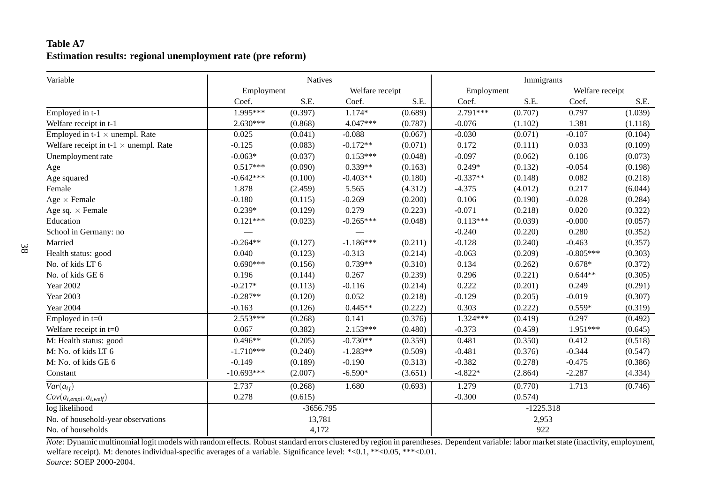# **Table A7Estimation results: regional unemployment rate (pre reform)**

| Variable                                     |              | <b>Natives</b> |                 |         | Immigrants |             |                 |         |  |
|----------------------------------------------|--------------|----------------|-----------------|---------|------------|-------------|-----------------|---------|--|
|                                              | Employment   |                | Welfare receipt |         | Employment |             | Welfare receipt |         |  |
|                                              | Coef.        | S.E.           | Coef.           | S.E.    | Coef.      | S.E.        | Coef.           | S.E.    |  |
| Employed in t-1                              | 1.995***     | (0.397)        | $1.174*$        | (0.689) | $2.791***$ | (0.707)     | 0.797           | (1.039) |  |
| Welfare receipt in t-1                       | $2.630***$   | (0.868)        | 4.047***        | (0.787) | $-0.076$   | (1.102)     | 1.381           | (1.118) |  |
| Employed in t-1 $\times$ unempl. Rate        | 0.025        | (0.041)        | $-0.088$        | (0.067) | $-0.030$   | (0.071)     | $-0.107$        | (0.104) |  |
| Welfare receipt in t-1 $\times$ unempl. Rate | $-0.125$     | (0.083)        | $-0.172**$      | (0.071) | 0.172      | (0.111)     | 0.033           | (0.109) |  |
| Unemployment rate                            | $-0.063*$    | (0.037)        | $0.153***$      | (0.048) | $-0.097$   | (0.062)     | 0.106           | (0.073) |  |
| Age                                          | $0.517***$   | (0.090)        | $0.339**$       | (0.163) | $0.249*$   | (0.132)     | $-0.054$        | (0.198) |  |
| Age squared                                  | $-0.642***$  | (0.100)        | $-0.403**$      | (0.180) | $-0.337**$ | (0.148)     | 0.082           | (0.218) |  |
| Female                                       | 1.878        | (2.459)        | 5.565           | (4.312) | $-4.375$   | (4.012)     | 0.217           | (6.044) |  |
| Age $\times$ Female                          | $-0.180$     | (0.115)        | $-0.269$        | (0.200) | 0.106      | (0.190)     | $-0.028$        | (0.284) |  |
| Age sq. $\times$ Female                      | $0.239*$     | (0.129)        | 0.279           | (0.223) | $-0.071$   | (0.218)     | 0.020           | (0.322) |  |
| Education                                    | $0.121***$   | (0.023)        | $-0.265***$     | (0.048) | $0.113***$ | (0.039)     | $-0.000$        | (0.057) |  |
| School in Germany: no                        |              |                |                 |         | $-0.240$   | (0.220)     | 0.280           | (0.352) |  |
| Married                                      | $-0.264**$   | (0.127)        | $-1.186***$     | (0.211) | $-0.128$   | (0.240)     | $-0.463$        | (0.357) |  |
| Health status: good                          | 0.040        | (0.123)        | $-0.313$        | (0.214) | $-0.063$   | (0.209)     | $-0.805***$     | (0.303) |  |
| No. of kids LT 6                             | $0.690***$   | (0.156)        | $0.739**$       | (0.310) | 0.134      | (0.262)     | $0.678*$        | (0.372) |  |
| No. of kids GE 6                             | 0.196        | (0.144)        | 0.267           | (0.239) | 0.296      | (0.221)     | $0.644**$       | (0.305) |  |
| <b>Year 2002</b>                             | $-0.217*$    | (0.113)        | $-0.116$        | (0.214) | 0.222      | (0.201)     | 0.249           | (0.291) |  |
| <b>Year 2003</b>                             | $-0.287**$   | (0.120)        | 0.052           | (0.218) | $-0.129$   | (0.205)     | $-0.019$        | (0.307) |  |
| <b>Year 2004</b>                             | $-0.163$     | (0.126)        | $0.445**$       | (0.222) | 0.303      | (0.222)     | $0.559*$        | (0.319) |  |
| Employed in $t=0$                            | $2.553***$   | (0.268)        | 0.141           | (0.376) | 1.324***   | (0.419)     | 0.297           | (0.492) |  |
| Welfare receipt in $t=0$                     | 0.067        | (0.382)        | $2.153***$      | (0.480) | $-0.373$   | (0.459)     | 1.951***        | (0.645) |  |
| M: Health status: good                       | $0.496**$    | (0.205)        | $-0.730**$      | (0.359) | 0.481      | (0.350)     | 0.412           | (0.518) |  |
| M: No. of kids LT 6                          | $-1.710***$  | (0.240)        | $-1.283**$      | (0.509) | $-0.481$   | (0.376)     | $-0.344$        | (0.547) |  |
| M: No. of kids GE 6                          | $-0.149$     | (0.189)        | $-0.190$        | (0.313) | $-0.382$   | (0.278)     | $-0.475$        | (0.386) |  |
| Constant                                     | $-10.693***$ | (2.007)        | $-6.590*$       | (3.651) | $-4.822*$  | (2.864)     | $-2.287$        | (4.334) |  |
| $Var(a_{ij})$                                | 2.737        | (0.268)        | 1.680           | (0.693) | 1.279      | (0.770)     | 1.713           | (0.746) |  |
| $Cov(a_{i,empl}, a_{i, well})$               | 0.278        | (0.615)        |                 |         | $-0.300$   | (0.574)     |                 |         |  |
| log likelihood                               |              | $-3656.795$    |                 |         |            | $-1225.318$ |                 |         |  |
| No. of household-year observations           |              | 13,781         |                 |         |            | 2,953       |                 |         |  |
| No. of households                            | 4,172        |                |                 |         | 922        |             |                 |         |  |

*Note*: Dynamic multinomial logit models with random effects. Robust standard errors clustered by region in parentheses. Dependent variable: labor market state (inactivity, employment, welfare receipt). M: denotes individual-specific averages of <sup>a</sup> variable. Significance level: \*<0.1, \*\*<0.05, \*\*\*<0.01. *Source*: SOEP 2000-2004.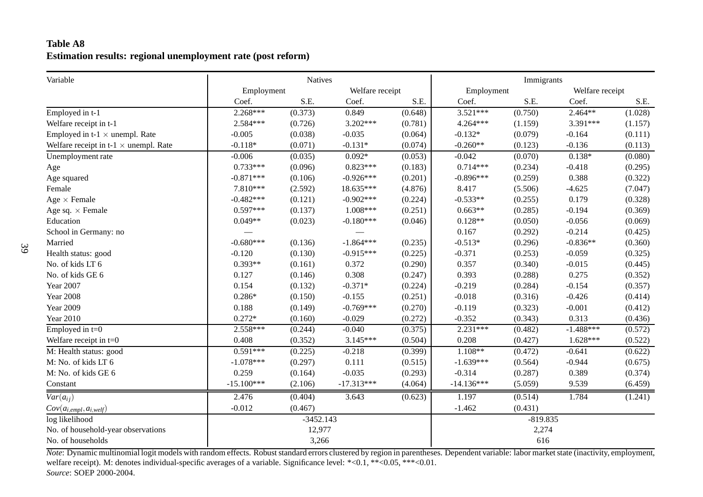# **Table A8Estimation results: regional unemployment rate (post reform)**

| Variable                                     |              | <b>Natives</b> |                 |         |              | Immigrants |                 |         |  |
|----------------------------------------------|--------------|----------------|-----------------|---------|--------------|------------|-----------------|---------|--|
|                                              | Employment   |                | Welfare receipt |         | Employment   |            | Welfare receipt |         |  |
|                                              | Coef.        | S.E.           | Coef.           | S.E.    | Coef.        | S.E.       | Coef.           | S.E.    |  |
| Employed in t-1                              | $2.268***$   | (0.373)        | 0.849           | (0.648) | $3.521***$   | (0.750)    | $2.464**$       | (1.028) |  |
| Welfare receipt in t-1                       | 2.584***     | (0.726)        | $3.202***$      | (0.781) | 4.264***     | (1.159)    | 3.391***        | (1.157) |  |
| Employed in t-1 $\times$ unempl. Rate        | $-0.005$     | (0.038)        | $-0.035$        | (0.064) | $-0.132*$    | (0.079)    | $-0.164$        | (0.111) |  |
| Welfare receipt in t-1 $\times$ unempl. Rate | $-0.118*$    | (0.071)        | $-0.131*$       | (0.074) | $-0.260**$   | (0.123)    | $-0.136$        | (0.113) |  |
| Unemployment rate                            | $-0.006$     | (0.035)        | $0.092*$        | (0.053) | $-0.042$     | (0.070)    | $0.138*$        | (0.080) |  |
| Age                                          | $0.733***$   | (0.096)        | $0.823***$      | (0.183) | $0.714***$   | (0.234)    | $-0.418$        | (0.295) |  |
| Age squared                                  | $-0.871***$  | (0.106)        | $-0.926***$     | (0.201) | $-0.896***$  | (0.259)    | 0.388           | (0.322) |  |
| Female                                       | 7.810***     | (2.592)        | 18.635***       | (4.876) | 8.417        | (5.506)    | $-4.625$        | (7.047) |  |
| Age $\times$ Female                          | $-0.482***$  | (0.121)        | $-0.902***$     | (0.224) | $-0.533**$   | (0.255)    | 0.179           | (0.328) |  |
| Age sq. $\times$ Female                      | $0.597***$   | (0.137)        | 1.008***        | (0.251) | $0.663**$    | (0.285)    | $-0.194$        | (0.369) |  |
| Education                                    | $0.049**$    | (0.023)        | $-0.180***$     | (0.046) | $0.128**$    | (0.050)    | $-0.056$        | (0.069) |  |
| School in Germany: no                        |              |                |                 |         | 0.167        | (0.292)    | $-0.214$        | (0.425) |  |
| Married                                      | $-0.680***$  | (0.136)        | $-1.864***$     | (0.235) | $-0.513*$    | (0.296)    | $-0.836**$      | (0.360) |  |
| Health status: good                          | $-0.120$     | (0.130)        | $-0.915***$     | (0.225) | $-0.371$     | (0.253)    | $-0.059$        | (0.325) |  |
| No. of kids LT 6                             | $0.393**$    | (0.161)        | 0.372           | (0.290) | 0.357        | (0.340)    | $-0.015$        | (0.445) |  |
| No. of kids GE 6                             | 0.127        | (0.146)        | 0.308           | (0.247) | 0.393        | (0.288)    | 0.275           | (0.352) |  |
| <b>Year 2007</b>                             | 0.154        | (0.132)        | $-0.371*$       | (0.224) | $-0.219$     | (0.284)    | $-0.154$        | (0.357) |  |
| <b>Year 2008</b>                             | $0.286*$     | (0.150)        | $-0.155$        | (0.251) | $-0.018$     | (0.316)    | $-0.426$        | (0.414) |  |
| <b>Year 2009</b>                             | 0.188        | (0.149)        | $-0.769***$     | (0.270) | $-0.119$     | (0.323)    | $-0.001$        | (0.412) |  |
| <b>Year 2010</b>                             | $0.272*$     | (0.160)        | $-0.029$        | (0.272) | $-0.352$     | (0.343)    | 0.313           | (0.436) |  |
| Employed in $t=0$                            | $2.558***$   | (0.244)        | $-0.040$        | (0.375) | $2.231***$   | (0.482)    | $-1.488***$     | (0.572) |  |
| Welfare receipt in $t=0$                     | 0.408        | (0.352)        | $3.145***$      | (0.504) | 0.208        | (0.427)    | $1.628***$      | (0.522) |  |
| M: Health status: good                       | $0.591***$   | (0.225)        | $-0.218$        | (0.399) | $1.108**$    | (0.472)    | $-0.641$        | (0.622) |  |
| M: No. of kids LT 6                          | $-1.078***$  | (0.297)        | 0.111           | (0.515) | $-1.639***$  | (0.564)    | $-0.944$        | (0.675) |  |
| M: No. of kids GE 6                          | 0.259        | (0.164)        | $-0.035$        | (0.293) | $-0.314$     | (0.287)    | 0.389           | (0.374) |  |
| Constant                                     | $-15.100***$ | (2.106)        | $-17.313***$    | (4.064) | $-14.136***$ | (5.059)    | 9.539           | (6.459) |  |
| $\overline{Var(a_{ij})}$                     | 2.476        | (0.404)        | 3.643           | (0.623) | 1.197        | (0.514)    | 1.784           | (1.241) |  |
| $Cov(a_{i,empl}, a_{i,welf})$                | $-0.012$     | (0.467)        |                 |         | $-1.462$     | (0.431)    |                 |         |  |
| log likelihood                               |              | $-3452.143$    |                 |         |              | $-819.835$ |                 |         |  |
| No. of household-year observations           |              | 12,977         |                 |         |              | 2,274      |                 |         |  |
| No. of households                            | 3,266        |                |                 |         | 616          |            |                 |         |  |

*Note*: Dynamic multinomial logit models with random effects. Robust standard errors clustered by region in parentheses. Dependent variable: labor market state (inactivity, employment, welfare receipt). M: denotes individual-specific averages of <sup>a</sup> variable. Significance level: \*<0.1, \*\*<0.05, \*\*\*<0.01. *Source*: SOEP 2000-2004.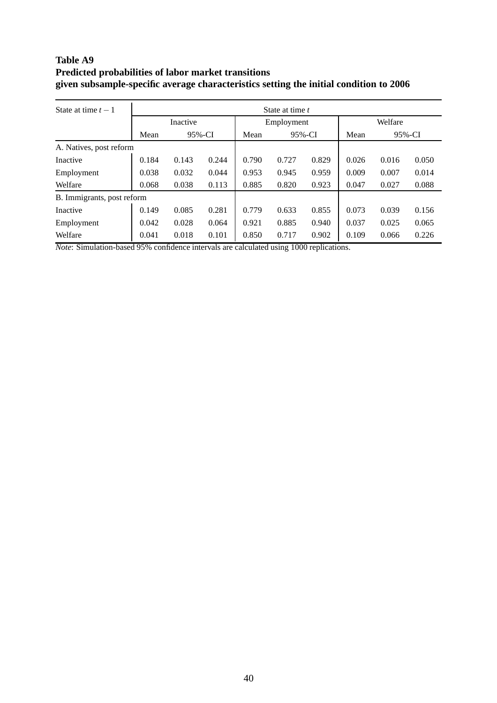# **Table A9 Predicted probabilities of labor market transitions given subsample-specific average characteristics setting the initial condition to 2006**

| State at time $t-1$        | State at time t |        |       |                |       |       |         |       |       |
|----------------------------|-----------------|--------|-------|----------------|-------|-------|---------|-------|-------|
|                            | Inactive        |        |       | Employment     |       |       | Welfare |       |       |
|                            | Mean            | 95%-CI |       | 95%-CI<br>Mean |       | Mean  | 95%-CI  |       |       |
| A. Natives, post reform    |                 |        |       |                |       |       |         |       |       |
| Inactive                   | 0.184           | 0.143  | 0.244 | 0.790          | 0.727 | 0.829 | 0.026   | 0.016 | 0.050 |
| Employment                 | 0.038           | 0.032  | 0.044 | 0.953          | 0.945 | 0.959 | 0.009   | 0.007 | 0.014 |
| Welfare                    | 0.068           | 0.038  | 0.113 | 0.885          | 0.820 | 0.923 | 0.047   | 0.027 | 0.088 |
| B. Immigrants, post reform |                 |        |       |                |       |       |         |       |       |
| Inactive                   | 0.149           | 0.085  | 0.281 | 0.779          | 0.633 | 0.855 | 0.073   | 0.039 | 0.156 |
| Employment                 | 0.042           | 0.028  | 0.064 | 0.921          | 0.885 | 0.940 | 0.037   | 0.025 | 0.065 |
| Welfare                    | 0.041           | 0.018  | 0.101 | 0.850          | 0.717 | 0.902 | 0.109   | 0.066 | 0.226 |

*Note*: Simulation-based 95% confidence intervals are calculated using 1000 replications.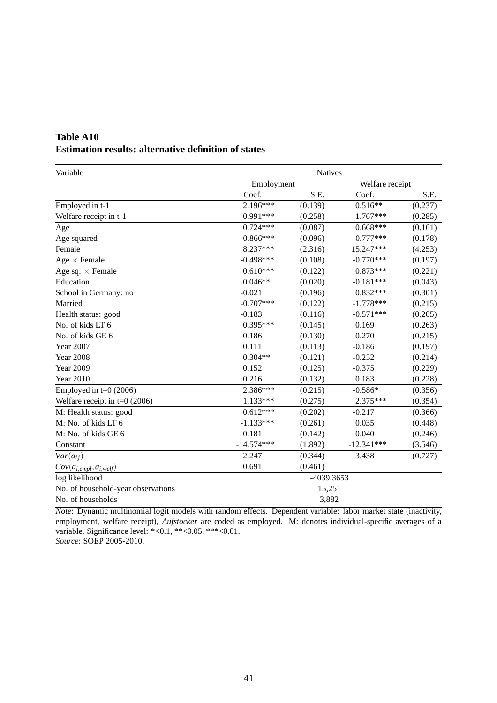| Variable                           | Natives      |            |                 |         |  |  |  |  |
|------------------------------------|--------------|------------|-----------------|---------|--|--|--|--|
|                                    | Employment   |            | Welfare receipt |         |  |  |  |  |
|                                    | Coef.        | S.E.       | Coef.           | S.E.    |  |  |  |  |
| Employed in t-1                    | 2.196***     | (0.139)    | $0.516**$       | (0.237) |  |  |  |  |
| Welfare receipt in t-1             | $0.991***$   | (0.258)    | 1.767***        | (0.285) |  |  |  |  |
| $\rm Age$                          | $0.724***$   | (0.087)    | $0.668***$      | (0.161) |  |  |  |  |
| Age squared                        | $-0.866***$  | (0.096)    | $-0.777***$     | (0.178) |  |  |  |  |
| Female                             | 8.237***     | (2.316)    | 15.247***       | (4.253) |  |  |  |  |
| Age $\times$ Female                | $-0.498***$  | (0.108)    | $-0.770***$     | (0.197) |  |  |  |  |
| Age sq. $\times$ Female            | $0.610***$   | (0.122)    | $0.873***$      | (0.221) |  |  |  |  |
| Education                          | $0.046**$    | (0.020)    | $-0.181***$     | (0.043) |  |  |  |  |
| School in Germany: no              | $-0.021$     | (0.196)    | $0.832***$      | (0.301) |  |  |  |  |
| Married                            | $-0.707***$  | (0.122)    | $-1.778***$     | (0.215) |  |  |  |  |
| Health status: good                | $-0.183$     | (0.116)    | $-0.571***$     | (0.205) |  |  |  |  |
| No. of kids LT 6                   | $0.395***$   | (0.145)    | 0.169           | (0.263) |  |  |  |  |
| No. of kids GE 6                   | 0.186        | (0.130)    | 0.270           | (0.215) |  |  |  |  |
| <b>Year 2007</b>                   | 0.111        | (0.113)    | $-0.186$        | (0.197) |  |  |  |  |
| <b>Year 2008</b>                   | $0.304**$    | (0.121)    | $-0.252$        | (0.214) |  |  |  |  |
| <b>Year 2009</b>                   | 0.152        | (0.125)    | $-0.375$        | (0.229) |  |  |  |  |
| <b>Year 2010</b>                   | 0.216        | (0.132)    | 0.183           | (0.228) |  |  |  |  |
| Employed in $t=0$ (2006)           | 2.386***     | (0.215)    | $-0.586*$       | (0.356) |  |  |  |  |
| Welfare receipt in $t=0$ (2006)    | $1.133***$   | (0.275)    | 2.375***        | (0.354) |  |  |  |  |
| M: Health status: good             | $0.612***$   | (0.202)    | $-0.217$        | (0.366) |  |  |  |  |
| M: No. of kids LT 6                | $-1.133***$  | (0.261)    | 0.035           | (0.448) |  |  |  |  |
| M: No. of kids GE 6                | 0.181        | (0.142)    | 0.040           | (0.246) |  |  |  |  |
| Constant                           | $-14.574***$ | (1.892)    | $-12.341***$    | (3.546) |  |  |  |  |
| $Var(a_{ij})$                      | 2.247        | (0.344)    | 3.438           | (0.727) |  |  |  |  |
| $Cov(a_{i,empl}, a_{i, well})$     | 0.691        | (0.461)    |                 |         |  |  |  |  |
| log likelihood                     |              | -4039.3653 |                 |         |  |  |  |  |
| No. of household-year observations |              | 15,251     |                 |         |  |  |  |  |
| No. of households                  |              | 3,882      |                 |         |  |  |  |  |

# **Table A10 Estimation results: alternative definition of states**

*Note*: Dynamic multinomial logit models with random effects. Dependent variable: labor market state (inactivity, employment, welfare receipt), *Aufstocker* are coded as employed. M: denotes individual-specific averages of a variable. Significance level: \*<0.1, \*\*<0.05, \*\*\*<0.01. *Source*: SOEP 2005-2010.